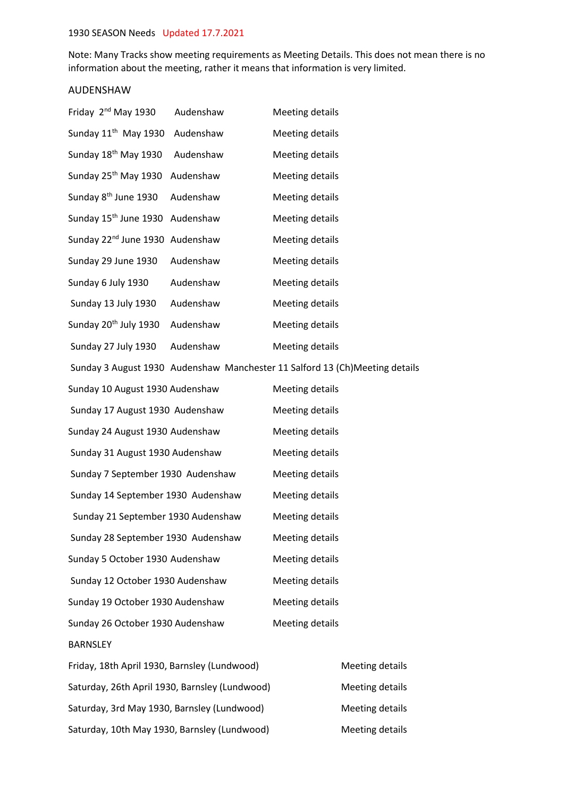## 1930 SEASON Needs Updated 17.7.2021

Note: Many Tracks show meeting requirements as Meeting Details. This does not mean there is no information about the meeting, rather it means that information is very limited.

## AUDENSHAW

| Friday 2 <sup>nd</sup> May 1930              | Audenshaw                                                                   | <b>Meeting details</b> |                        |
|----------------------------------------------|-----------------------------------------------------------------------------|------------------------|------------------------|
| Sunday $11^{\text{th}}$ May 1930             | Audenshaw                                                                   | <b>Meeting details</b> |                        |
| Sunday 18 <sup>th</sup> May 1930             | Audenshaw                                                                   | <b>Meeting details</b> |                        |
| Sunday 25 <sup>th</sup> May 1930             | Audenshaw                                                                   | <b>Meeting details</b> |                        |
| Sunday 8 <sup>th</sup> June 1930             | Audenshaw                                                                   | <b>Meeting details</b> |                        |
| Sunday 15 <sup>th</sup> June 1930            | Audenshaw                                                                   | <b>Meeting details</b> |                        |
| Sunday 22 <sup>nd</sup> June 1930 Audenshaw  |                                                                             | <b>Meeting details</b> |                        |
| Sunday 29 June 1930                          | Audenshaw                                                                   | <b>Meeting details</b> |                        |
| Sunday 6 July 1930                           | Audenshaw                                                                   | <b>Meeting details</b> |                        |
| Sunday 13 July 1930                          | Audenshaw                                                                   | <b>Meeting details</b> |                        |
| Sunday 20 <sup>th</sup> July 1930            | Audenshaw                                                                   | <b>Meeting details</b> |                        |
| Sunday 27 July 1930                          | Audenshaw                                                                   | <b>Meeting details</b> |                        |
|                                              | Sunday 3 August 1930 Audenshaw Manchester 11 Salford 13 (Ch)Meeting details |                        |                        |
| Sunday 10 August 1930 Audenshaw              |                                                                             | <b>Meeting details</b> |                        |
| Sunday 17 August 1930 Audenshaw              |                                                                             | <b>Meeting details</b> |                        |
| Sunday 24 August 1930 Audenshaw              |                                                                             | <b>Meeting details</b> |                        |
| Sunday 31 August 1930 Audenshaw              |                                                                             | <b>Meeting details</b> |                        |
| Sunday 7 September 1930 Audenshaw            |                                                                             | Meeting details        |                        |
| Sunday 14 September 1930 Audenshaw           |                                                                             | Meeting details        |                        |
| Sunday 21 September 1930 Audenshaw           |                                                                             | <b>Meeting details</b> |                        |
| Sunday 28 September 1930 Audenshaw           |                                                                             | <b>Meeting details</b> |                        |
| Sunday 5 October 1930 Audenshaw              |                                                                             | <b>Meeting details</b> |                        |
| Sunday 12 October 1930 Audenshaw             |                                                                             | <b>Meeting details</b> |                        |
| Sunday 19 October 1930 Audenshaw             |                                                                             | <b>Meeting details</b> |                        |
| Sunday 26 October 1930 Audenshaw             |                                                                             | <b>Meeting details</b> |                        |
| <b>BARNSLEY</b>                              |                                                                             |                        |                        |
| Friday, 18th April 1930, Barnsley (Lundwood) |                                                                             |                        | <b>Meeting details</b> |
|                                              | Saturday, 26th Anril 1930, Barnsley (Lundwood)                              |                        | Meeting details        |

Saturday, 26th April 1930, Barnsley (Lundwood) Meeting details Saturday, 3rd May 1930, Barnsley (Lundwood) Meeting details Saturday, 10th May 1930, Barnsley (Lundwood) Meeting details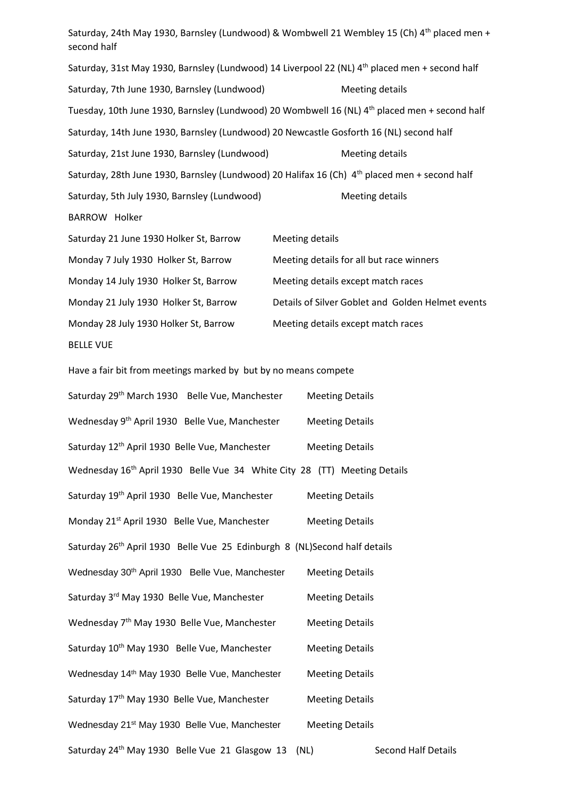Saturday, 24th May 1930, Barnsley (Lundwood) & Wombwell 21 Wembley 15 (Ch) 4<sup>th</sup> placed men + second half

Saturday, 31st May 1930, Barnsley (Lundwood) 14 Liverpool 22 (NL) 4<sup>th</sup> placed men + second half Saturday, 7th June 1930, Barnsley (Lundwood) Meeting details Tuesday, 10th June 1930, Barnsley (Lundwood) 20 Wombwell 16 (NL) 4<sup>th</sup> placed men + second half Saturday, 14th June 1930, Barnsley (Lundwood) 20 Newcastle Gosforth 16 (NL) second half Saturday, 21st June 1930, Barnsley (Lundwood) Meeting details Saturday, 28th June 1930, Barnsley (Lundwood) 20 Halifax 16 (Ch) 4th placed men + second half Saturday, 5th July 1930, Barnsley (Lundwood) Meeting details BARROW Holker Saturday 21 June 1930 Holker St, Barrow Meeting details

Monday 7 July 1930 Holker St, Barrow Meeting details for all but race winners Monday 14 July 1930 Holker St, Barrow Meeting details except match races Monday 21 July 1930 Holker St, Barrow Details of Silver Goblet and Golden Helmet events Monday 28 July 1930 Holker St, Barrow Meeting details except match races BELLE VUE

Have a fair bit from meetings marked by but by no means compete

| Saturday 29 <sup>th</sup> March 1930 Belle Vue, Manchester                            | <b>Meeting Details</b>     |
|---------------------------------------------------------------------------------------|----------------------------|
| Wednesday 9 <sup>th</sup> April 1930 Belle Vue, Manchester                            | <b>Meeting Details</b>     |
| Saturday 12 <sup>th</sup> April 1930 Belle Vue, Manchester                            | <b>Meeting Details</b>     |
| Wednesday 16 <sup>th</sup> April 1930 Belle Vue 34 White City 28 (TT) Meeting Details |                            |
| Saturday 19 <sup>th</sup> April 1930 Belle Vue, Manchester                            | <b>Meeting Details</b>     |
| Monday 21 <sup>st</sup> April 1930 Belle Vue, Manchester                              | <b>Meeting Details</b>     |
| Saturday 26 <sup>th</sup> April 1930 Belle Vue 25 Edinburgh 8 (NL)Second half details |                            |
| Wednesday 30th April 1930 Belle Vue, Manchester                                       | <b>Meeting Details</b>     |
| Saturday 3rd May 1930 Belle Vue, Manchester                                           | <b>Meeting Details</b>     |
| Wednesday 7 <sup>th</sup> May 1930 Belle Vue, Manchester                              | <b>Meeting Details</b>     |
| Saturday 10 <sup>th</sup> May 1930 Belle Vue, Manchester                              | <b>Meeting Details</b>     |
| Wednesday 14th May 1930 Belle Vue, Manchester                                         | <b>Meeting Details</b>     |
| Saturday 17th May 1930 Belle Vue, Manchester                                          | <b>Meeting Details</b>     |
| Wednesday 21 <sup>st</sup> May 1930 Belle Vue, Manchester                             | <b>Meeting Details</b>     |
| Saturday 24 <sup>th</sup> May 1930 Belle Vue 21 Glasgow 13 (NL)                       | <b>Second Half Details</b> |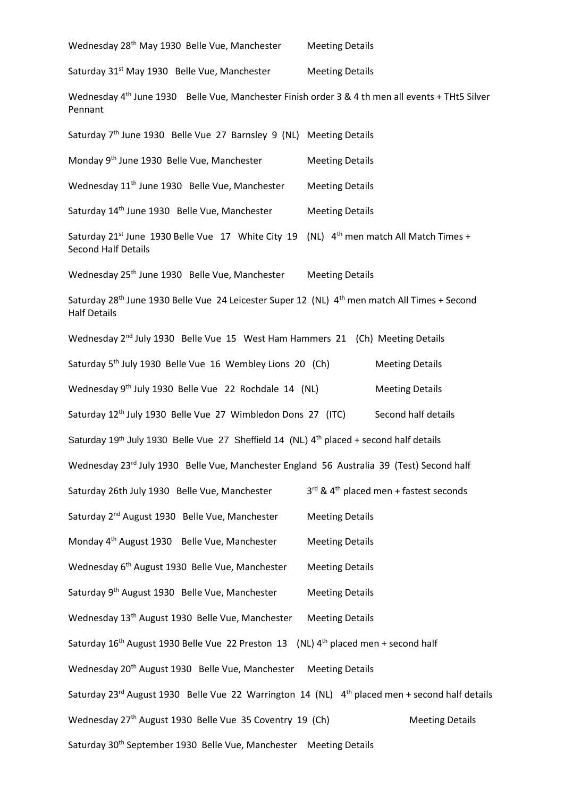| Wednesday 28 <sup>th</sup> May 1930 Belle Vue, Manchester                                                                                     | <b>Meeting Details</b>                                  |
|-----------------------------------------------------------------------------------------------------------------------------------------------|---------------------------------------------------------|
| Saturday 31 <sup>st</sup> May 1930 Belle Vue, Manchester                                                                                      | <b>Meeting Details</b>                                  |
| Wednesday 4 <sup>th</sup> June 1930 Belle Vue, Manchester Finish order 3 & 4 th men all events + THt5 Silver<br>Pennant                       |                                                         |
| Saturday 7 <sup>th</sup> June 1930 Belle Vue 27 Barnsley 9 (NL) Meeting Details                                                               |                                                         |
| Monday 9 <sup>th</sup> June 1930 Belle Vue, Manchester                                                                                        | <b>Meeting Details</b>                                  |
| Wednesday 11 <sup>th</sup> June 1930 Belle Vue, Manchester                                                                                    | <b>Meeting Details</b>                                  |
| Saturday 14 <sup>th</sup> June 1930 Belle Vue, Manchester                                                                                     | <b>Meeting Details</b>                                  |
| Saturday 21 <sup>st</sup> June 1930 Belle Vue 17 White City 19 (NL) 4 <sup>th</sup> men match All Match Times +<br><b>Second Half Details</b> |                                                         |
| Wednesday 25 <sup>th</sup> June 1930 Belle Vue, Manchester                                                                                    | <b>Meeting Details</b>                                  |
| Saturday 28 <sup>th</sup> June 1930 Belle Vue 24 Leicester Super 12 (NL) 4 <sup>th</sup> men match All Times + Second<br><b>Half Details</b>  |                                                         |
| Wednesday 2 <sup>nd</sup> July 1930 Belle Vue 15 West Ham Hammers 21 (Ch) Meeting Details                                                     |                                                         |
| Saturday 5 <sup>th</sup> July 1930 Belle Vue 16 Wembley Lions 20 (Ch)                                                                         | <b>Meeting Details</b>                                  |
| Wednesday 9 <sup>th</sup> July 1930 Belle Vue 22 Rochdale 14 (NL)                                                                             | <b>Meeting Details</b>                                  |
| Saturday 12 <sup>th</sup> July 1930 Belle Vue 27 Wimbledon Dons 27 (ITC)                                                                      | Second half details                                     |
| Saturday 19th July 1930 Belle Vue 27 Sheffield 14 (NL) 4th placed + second half details                                                       |                                                         |
| Wednesday 23rd July 1930 Belle Vue, Manchester England 56 Australia 39 (Test) Second half                                                     |                                                         |
| Saturday 26th July 1930 Belle Vue, Manchester                                                                                                 | $3^{rd}$ & 4 <sup>th</sup> placed men + fastest seconds |
| Saturday 2 <sup>nd</sup> August 1930 Belle Vue, Manchester                                                                                    | <b>Meeting Details</b>                                  |
| Monday 4 <sup>th</sup> August 1930 Belle Vue, Manchester                                                                                      | <b>Meeting Details</b>                                  |
| Wednesday 6 <sup>th</sup> August 1930 Belle Vue, Manchester                                                                                   | <b>Meeting Details</b>                                  |
| Saturday 9 <sup>th</sup> August 1930 Belle Vue, Manchester                                                                                    | <b>Meeting Details</b>                                  |
| Wednesday 13 <sup>th</sup> August 1930 Belle Vue, Manchester                                                                                  | <b>Meeting Details</b>                                  |
| Saturday 16 <sup>th</sup> August 1930 Belle Vue 22 Preston 13 (NL) 4 <sup>th</sup> placed men + second half                                   |                                                         |
| Wednesday 20 <sup>th</sup> August 1930 Belle Vue, Manchester Meeting Details                                                                  |                                                         |
| Saturday 23rd August 1930 Belle Vue 22 Warrington 14 (NL) 4th placed men + second half details                                                |                                                         |
| Wednesday 27 <sup>th</sup> August 1930 Belle Vue 35 Coventry 19 (Ch)                                                                          | <b>Meeting Details</b>                                  |
| Saturday 30 <sup>th</sup> September 1930 Belle Vue, Manchester Meeting Details                                                                |                                                         |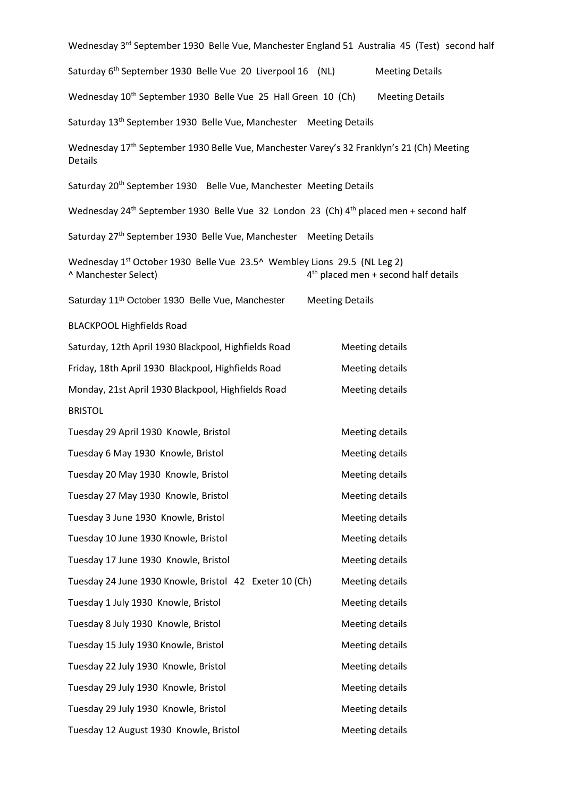Wednesday 3<sup>rd</sup> September 1930 Belle Vue, Manchester England 51 Australia 45 (Test) second half Saturday 6<sup>th</sup> September 1930 Belle Vue 20 Liverpool 16 (NL) Meeting Details Wednesday 10<sup>th</sup> September 1930 Belle Vue 25 Hall Green 10 (Ch) Meeting Details Saturday 13th September 1930 Belle Vue, Manchester Meeting Details Wednesday 17<sup>th</sup> September 1930 Belle Vue, Manchester Varey's 32 Franklyn's 21 (Ch) Meeting Details Saturday 20<sup>th</sup> September 1930 Belle Vue, Manchester Meeting Details Wednesday 24<sup>th</sup> September 1930 Belle Vue 32 London 23 (Ch) 4<sup>th</sup> placed men + second half Saturday 27<sup>th</sup> September 1930 Belle Vue, Manchester Meeting Details Wednesday 1<sup>st</sup> October 1930 Belle Vue 23.5^ Wembley Lions 29.5 (NL Leg 2) ^ Manchester Select) 4  $4<sup>th</sup>$  placed men + second half details Saturday 11<sup>th</sup> October 1930 Belle Vue, Manchester Meeting Details BLACKPOOL Highfields Road Saturday, 12th April 1930 Blackpool, Highfields Road Meeting details Friday, 18th April 1930 Blackpool, Highfields Road Meeting details Monday, 21st April 1930 Blackpool, Highfields Road Meeting details BRISTOL Tuesday 29 April 1930 Knowle, Bristol Meeting details Tuesday 6 May 1930 Knowle, Bristol Meeting details Meeting details Tuesday 20 May 1930 Knowle, Bristol Meeting details Tuesday 27 May 1930 Knowle, Bristol Meeting details Tuesday 3 June 1930 Knowle, Bristol Meeting details Tuesday 10 June 1930 Knowle, Bristol Meeting details Tuesday 17 June 1930 Knowle, Bristol **Meeting details** Meeting details Tuesday 24 June 1930 Knowle, Bristol 42 Exeter 10 (Ch) Meeting details Tuesday 1 July 1930 Knowle, Bristol Meeting details Tuesday 8 July 1930 Knowle, Bristol Meeting details Tuesday 15 July 1930 Knowle, Bristol Meeting details Tuesday 22 July 1930 Knowle, Bristol Meeting details Tuesday 29 July 1930 Knowle, Bristol Meeting details Tuesday 29 July 1930 Knowle, Bristol Meeting details Tuesday 12 August 1930 Knowle, Bristol Meeting details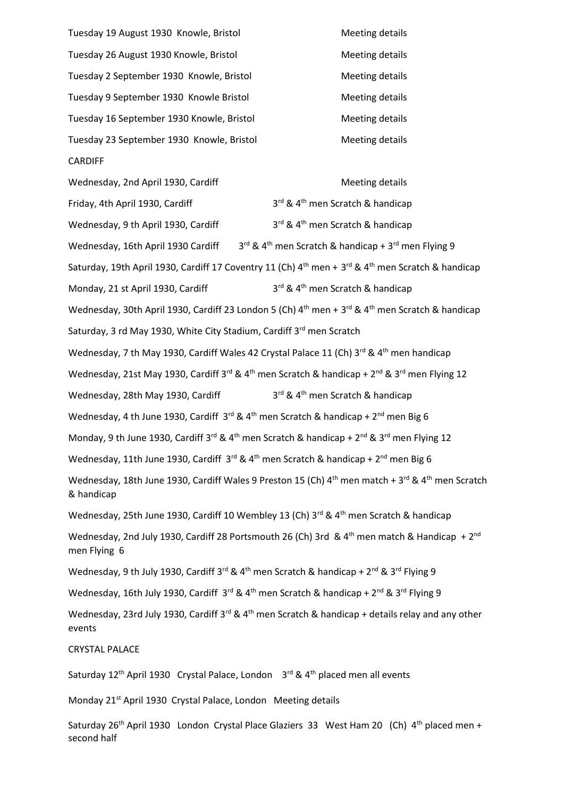Tuesday 19 August 1930 Knowle, Bristol Meeting details Tuesday 26 August 1930 Knowle, Bristol Muslem Meeting details Tuesday 2 September 1930 Knowle, Bristol Meeting details Tuesday 9 September 1930 Knowle Bristol Meeting details Tuesday 16 September 1930 Knowle, Bristol Meeting details Tuesday 23 September 1930 Knowle, Bristol Meeting details CARDIFF Wednesday, 2nd April 1930, Cardiff Meeting details Meeting details Friday, 4th April 1930, Cardiff 3 3<sup>rd</sup> & 4<sup>th</sup> men Scratch & handicap Wednesday, 9 th April 1930, Cardiff 3<sup>rd</sup> & 4<sup>th</sup> men Scratch & handicap Wednesday, 16th April 1930 Cardiff 3  $3^{rd}$  & 4<sup>th</sup> men Scratch & handicap + 3<sup>rd</sup> men Flying 9 Saturday, 19th April 1930, Cardiff 17 Coventry 11 (Ch) 4<sup>th</sup> men + 3<sup>rd</sup> & 4<sup>th</sup> men Scratch & handicap Monday, 21 st April 1930, Cardiff 3 3<sup>rd</sup> & 4<sup>th</sup> men Scratch & handicap Wednesday, 30th April 1930, Cardiff 23 London 5 (Ch) 4<sup>th</sup> men + 3<sup>rd</sup> & 4<sup>th</sup> men Scratch & handicap Saturday, 3 rd May 1930, White City Stadium, Cardiff 3<sup>rd</sup> men Scratch Wednesday, 7 th May 1930, Cardiff Wales 42 Crystal Palace 11 (Ch)  $3^{\text{rd}}$  & 4<sup>th</sup> men handicap Wednesday, 21st May 1930, Cardiff 3<sup>rd</sup> & 4<sup>th</sup> men Scratch & handicap + 2<sup>nd</sup> & 3<sup>rd</sup> men Flying 12 Wednesday, 28th May 1930, Cardiff 3  $3^{rd}$  & 4<sup>th</sup> men Scratch & handicap Wednesday, 4 th June 1930, Cardiff  $3^{rd}$  & 4<sup>th</sup> men Scratch & handicap + 2<sup>nd</sup> men Big 6 Monday, 9 th June 1930, Cardiff 3rd & 4<sup>th</sup> men Scratch & handicap + 2<sup>nd</sup> & 3<sup>rd</sup> men Flying 12 Wednesday, 11th June 1930, Cardiff  $3^{rd}$  & 4<sup>th</sup> men Scratch & handicap +  $2^{nd}$  men Big 6 Wednesday, 18th June 1930, Cardiff Wales 9 Preston 15 (Ch) 4<sup>th</sup> men match + 3<sup>rd</sup> & 4<sup>th</sup> men Scratch & handicap Wednesday, 25th June 1930, Cardiff 10 Wembley 13 (Ch) 3<sup>rd</sup> & 4<sup>th</sup> men Scratch & handicap Wednesday, 2nd July 1930, Cardiff 28 Portsmouth 26 (Ch) 3rd & 4<sup>th</sup> men match & Handicap + 2<sup>nd</sup> men Flying 6 Wednesday, 9 th July 1930, Cardiff 3<sup>rd</sup> & 4<sup>th</sup> men Scratch & handicap + 2<sup>nd</sup> & 3<sup>rd</sup> Flying 9 Wednesday, 16th July 1930, Cardiff  $3^{\text{rd}}$  & 4<sup>th</sup> men Scratch & handicap +  $2^{\text{nd}}$  & 3<sup>rd</sup> Flying 9 Wednesday, 23rd July 1930, Cardiff 3<sup>rd</sup> & 4<sup>th</sup> men Scratch & handicap + details relay and any other events CRYSTAL PALACE Saturday  $12^{th}$  April 1930 Crystal Palace, London  $3^{rd}$  & 4<sup>th</sup> placed men all events

Monday 21<sup>st</sup> April 1930 Crystal Palace, London Meeting details

Saturday 26<sup>th</sup> April 1930 London Crystal Place Glaziers 33 West Ham 20 (Ch)  $4<sup>th</sup>$  placed men + second half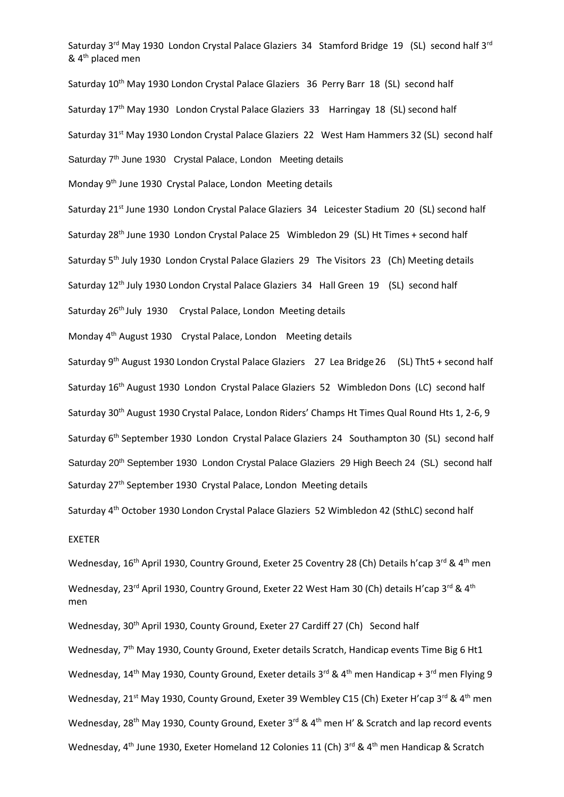Saturday 3<sup>rd</sup> May 1930 London Crystal Palace Glaziers 34 Stamford Bridge 19 (SL) second half 3<sup>rd</sup>  $& 4<sup>th</sup>$  placed men

Saturday 10<sup>th</sup> May 1930 London Crystal Palace Glaziers 36 Perry Barr 18 (SL) second half Saturday 17<sup>th</sup> May 1930 London Crystal Palace Glaziers 33 Harringay 18 (SL) second half Saturday 31<sup>st</sup> May 1930 London Crystal Palace Glaziers 22 West Ham Hammers 32 (SL) second half Saturday 7<sup>th</sup> June 1930 Crystal Palace, London Meeting details Monday 9th June 1930 Crystal Palace, London Meeting details Saturday 21<sup>st</sup> June 1930 London Crystal Palace Glaziers 34 Leicester Stadium 20 (SL) second half Saturday 28<sup>th</sup> June 1930 London Crystal Palace 25 Wimbledon 29 (SL) Ht Times + second half

Saturday 5<sup>th</sup> July 1930 London Crystal Palace Glaziers 29 The Visitors 23 (Ch) Meeting details

Saturday 12<sup>th</sup> July 1930 London Crystal Palace Glaziers 34 Hall Green 19 (SL) second half

Saturday 26<sup>th</sup> July 1930 Crystal Palace, London Meeting details

Monday 4<sup>th</sup> August 1930 Crystal Palace, London Meeting details

Saturday 9<sup>th</sup> August 1930 London Crystal Palace Glaziers 27 Lea Bridge 26 (SL) Tht5 + second half Saturday 16<sup>th</sup> August 1930 London Crystal Palace Glaziers 52 Wimbledon Dons (LC) second half Saturday 30<sup>th</sup> August 1930 Crystal Palace, London Riders' Champs Ht Times Qual Round Hts 1, 2-6, 9 Saturday 6<sup>th</sup> September 1930 London Crystal Palace Glaziers 24 Southampton 30 (SL) second half Saturday 20<sup>th</sup> September 1930 London Crystal Palace Glaziers 29 High Beech 24 (SL) second half Saturday 27<sup>th</sup> September 1930 Crystal Palace, London Meeting details

Saturday 4<sup>th</sup> October 1930 London Crystal Palace Glaziers 52 Wimbledon 42 (SthLC) second half

## EXETER

Wednesday, 16<sup>th</sup> April 1930, Country Ground, Exeter 25 Coventry 28 (Ch) Details h'cap 3<sup>rd</sup> & 4<sup>th</sup> men Wednesday, 23<sup>rd</sup> April 1930, Country Ground, Exeter 22 West Ham 30 (Ch) details H'cap 3<sup>rd</sup> & 4<sup>th</sup> men

Wednesday, 30<sup>th</sup> April 1930, County Ground, Exeter 27 Cardiff 27 (Ch) Second half

Wednesday, 7<sup>th</sup> May 1930, County Ground, Exeter details Scratch, Handicap events Time Big 6 Ht1 Wednesday, 14<sup>th</sup> May 1930, County Ground, Exeter details 3<sup>rd</sup> & 4<sup>th</sup> men Handicap + 3<sup>rd</sup> men Flying 9 Wednesday, 21<sup>st</sup> May 1930, County Ground, Exeter 39 Wembley C15 (Ch) Exeter H'cap 3<sup>rd</sup> & 4<sup>th</sup> men Wednesday, 28<sup>th</sup> May 1930, County Ground, Exeter 3<sup>rd</sup> & 4<sup>th</sup> men H' & Scratch and lap record events Wednesday, 4<sup>th</sup> June 1930, Exeter Homeland 12 Colonies 11 (Ch) 3<sup>rd</sup> & 4<sup>th</sup> men Handicap & Scratch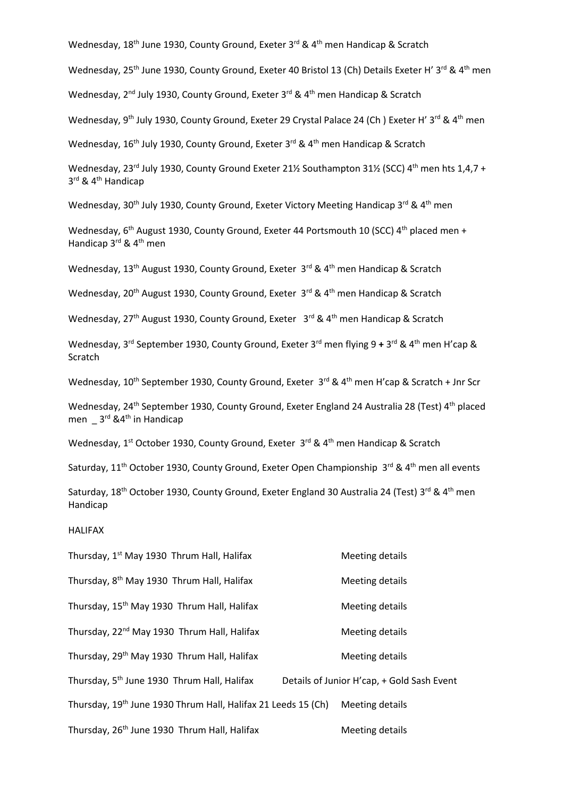Wednesday, 18<sup>th</sup> June 1930, County Ground, Exeter 3<sup>rd</sup> & 4<sup>th</sup> men Handicap & Scratch

Wednesday, 25<sup>th</sup> June 1930, County Ground, Exeter 40 Bristol 13 (Ch) Details Exeter H' 3<sup>rd</sup> & 4<sup>th</sup> men

Wednesday, 2<sup>nd</sup> July 1930, County Ground, Exeter 3<sup>rd</sup> & 4<sup>th</sup> men Handicap & Scratch

Wednesday, 9<sup>th</sup> July 1930, County Ground, Exeter 29 Crystal Palace 24 (Ch) Exeter H' 3<sup>rd</sup> & 4<sup>th</sup> men

Wednesday, 16<sup>th</sup> July 1930, County Ground, Exeter 3<sup>rd</sup> & 4<sup>th</sup> men Handicap & Scratch

Wednesday, 23<sup>rd</sup> July 1930, County Ground Exeter 21½ Southampton 31½ (SCC) 4<sup>th</sup> men hts 1,4,7 + 3<sup>rd</sup> & 4<sup>th</sup> Handicap

Wednesday, 30<sup>th</sup> July 1930, County Ground, Exeter Victory Meeting Handicap 3<sup>rd</sup> & 4<sup>th</sup> men

Wednesday, 6<sup>th</sup> August 1930, County Ground, Exeter 44 Portsmouth 10 (SCC) 4<sup>th</sup> placed men + Handicap 3rd & 4th men

Wednesday, 13<sup>th</sup> August 1930, County Ground, Exeter 3<sup>rd</sup> & 4<sup>th</sup> men Handicap & Scratch

Wednesday, 20<sup>th</sup> August 1930, County Ground, Exeter 3<sup>rd</sup> & 4<sup>th</sup> men Handicap & Scratch

Wednesday, 27<sup>th</sup> August 1930, County Ground, Exeter 3<sup>rd</sup> & 4<sup>th</sup> men Handicap & Scratch

Wednesday, 3<sup>rd</sup> September 1930, County Ground, Exeter 3<sup>rd</sup> men flying 9 + 3<sup>rd</sup> & 4<sup>th</sup> men H'cap & Scratch

Wednesday, 10<sup>th</sup> September 1930, County Ground, Exeter 3<sup>rd</sup> & 4<sup>th</sup> men H'cap & Scratch + Jnr Scr

Wednesday, 24<sup>th</sup> September 1930, County Ground, Exeter England 24 Australia 28 (Test) 4<sup>th</sup> placed men  $3^{\text{rd}}$  &4<sup>th</sup> in Handicap

Wednesday, 1<sup>st</sup> October 1930, County Ground, Exeter 3<sup>rd</sup> & 4<sup>th</sup> men Handicap & Scratch

Saturday, 11<sup>th</sup> October 1930, County Ground, Exeter Open Championship 3<sup>rd</sup> & 4<sup>th</sup> men all events

Saturday, 18<sup>th</sup> October 1930, County Ground, Exeter England 30 Australia 24 (Test) 3<sup>rd</sup> & 4<sup>th</sup> men Handicap

HALIFAX

| Thursday, 1 <sup>st</sup> May 1930 Thrum Hall, Halifax                    | Meeting details                            |
|---------------------------------------------------------------------------|--------------------------------------------|
| Thursday, 8 <sup>th</sup> May 1930 Thrum Hall, Halifax                    | Meeting details                            |
| Thursday, 15 <sup>th</sup> May 1930 Thrum Hall, Halifax                   | Meeting details                            |
| Thursday, 22 <sup>nd</sup> May 1930 Thrum Hall, Halifax                   | Meeting details                            |
| Thursday, 29 <sup>th</sup> May 1930 Thrum Hall, Halifax                   | Meeting details                            |
| Thursday, 5 <sup>th</sup> June 1930 Thrum Hall, Halifax                   | Details of Junior H'cap, + Gold Sash Event |
| Thursday, 19 <sup>th</sup> June 1930 Thrum Hall, Halifax 21 Leeds 15 (Ch) | Meeting details                            |
| Thursday, 26 <sup>th</sup> June 1930 Thrum Hall, Halifax                  | Meeting details                            |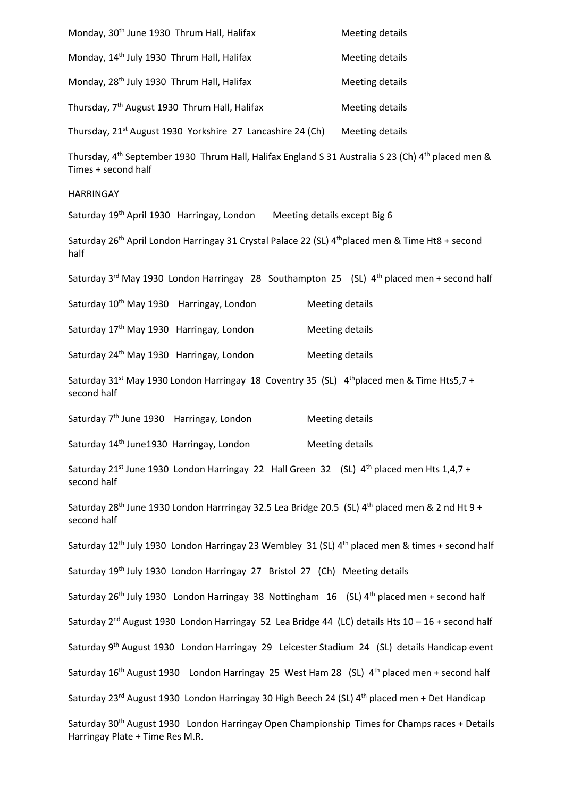| Monday, 30 <sup>th</sup> June 1930 Thrum Hall, Halifax                                                                                            | <b>Meeting details</b> |
|---------------------------------------------------------------------------------------------------------------------------------------------------|------------------------|
| Monday, 14 <sup>th</sup> July 1930 Thrum Hall, Halifax                                                                                            | Meeting details        |
| Monday, 28 <sup>th</sup> July 1930 Thrum Hall, Halifax                                                                                            | Meeting details        |
| Thursday, 7 <sup>th</sup> August 1930 Thrum Hall, Halifax                                                                                         | Meeting details        |
| Thursday, 21 <sup>st</sup> August 1930 Yorkshire 27 Lancashire 24 (Ch)                                                                            | <b>Meeting details</b> |
| Thursday, 4 <sup>th</sup> September 1930 Thrum Hall, Halifax England S 31 Australia S 23 (Ch) 4 <sup>th</sup> placed men &<br>Times + second half |                        |
| <b>HARRINGAY</b>                                                                                                                                  |                        |
| Saturday 19 <sup>th</sup> April 1930 Harringay, London Meeting details except Big 6                                                               |                        |
| Saturday 26 <sup>th</sup> April London Harringay 31 Crystal Palace 22 (SL) 4 <sup>th</sup> placed men & Time Ht8 + second<br>half                 |                        |
| Saturday 3 <sup>rd</sup> May 1930 London Harringay 28 Southampton 25 (SL) 4 <sup>th</sup> placed men + second half                                |                        |
| Saturday 10 <sup>th</sup> May 1930 Harringay, London                                                                                              | <b>Meeting details</b> |
| Saturday 17 <sup>th</sup> May 1930 Harringay, London                                                                                              | Meeting details        |
| Saturday 24 <sup>th</sup> May 1930 Harringay, London                                                                                              | <b>Meeting details</b> |
| Saturday 31 <sup>st</sup> May 1930 London Harringay 18 Coventry 35 (SL) 4 <sup>th</sup> placed men & Time Hts5,7 +<br>second half                 |                        |
| Saturday 7 <sup>th</sup> June 1930 Harringay, London                                                                                              | <b>Meeting details</b> |
| Saturday 14 <sup>th</sup> June1930 Harringay, London                                                                                              | Meeting details        |
| Saturday 21 <sup>st</sup> June 1930 London Harringay 22 Hall Green 32 (SL) 4 <sup>th</sup> placed men Hts 1,4,7 +<br>second half                  |                        |
| Saturday 28 <sup>th</sup> June 1930 London Harrringay 32.5 Lea Bridge 20.5 (SL) 4 <sup>th</sup> placed men & 2 nd Ht 9 +<br>second half           |                        |
| Saturday 12 <sup>th</sup> July 1930 London Harringay 23 Wembley 31 (SL) 4 <sup>th</sup> placed men & times + second half                          |                        |
| Saturday 19 <sup>th</sup> July 1930 London Harringay 27 Bristol 27 (Ch) Meeting details                                                           |                        |
| Saturday 26 <sup>th</sup> July 1930 London Harringay 38 Nottingham 16 (SL) 4 <sup>th</sup> placed men + second half                               |                        |
| Saturday 2 <sup>nd</sup> August 1930 London Harringay 52 Lea Bridge 44 (LC) details Hts 10 - 16 + second half                                     |                        |
| Saturday 9 <sup>th</sup> August 1930 London Harringay 29 Leicester Stadium 24 (SL) details Handicap event                                         |                        |
| Saturday 16 <sup>th</sup> August 1930 London Harringay 25 West Ham 28 (SL) 4 <sup>th</sup> placed men + second half                               |                        |
| Saturday 23rd August 1930 London Harringay 30 High Beech 24 (SL) 4th placed men + Det Handicap                                                    |                        |
| Saturday 30 <sup>th</sup> August 1930 London Harringay Open Championship Times for Champs races + Details<br>Harringay Plate + Time Res M.R.      |                        |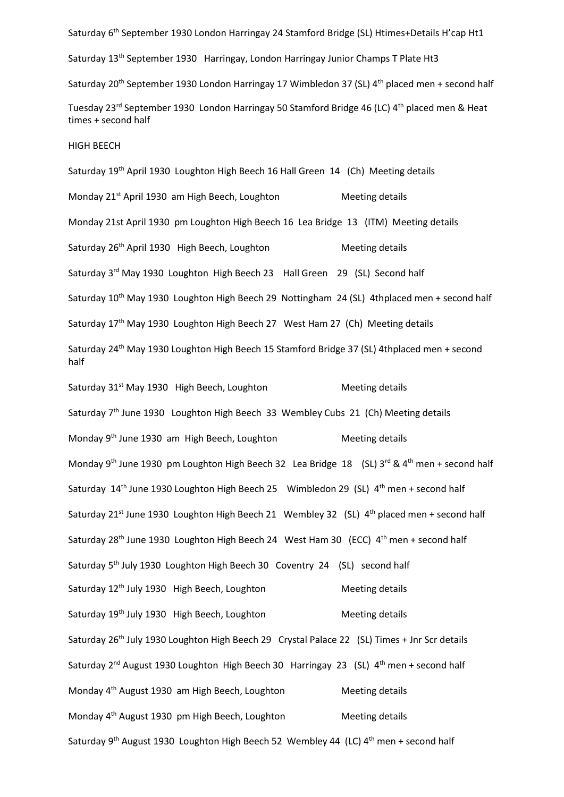Saturday 6<sup>th</sup> September 1930 London Harringay 24 Stamford Bridge (SL) Htimes+Details H'cap Ht1

Saturday 13th September 1930 Harringay, London Harringay Junior Champs T Plate Ht3

Saturday 20<sup>th</sup> September 1930 London Harringay 17 Wimbledon 37 (SL) 4<sup>th</sup> placed men + second half

Tuesday 23<sup>rd</sup> September 1930 London Harringay 50 Stamford Bridge 46 (LC) 4<sup>th</sup> placed men & Heat times + second half

#### HIGH BEECH

Saturday 19th April 1930 Loughton High Beech 16 Hall Green 14 (Ch) Meeting details Monday 21<sup>st</sup> April 1930 am High Beech, Loughton Meeting details Monday 21st April 1930 pm Loughton High Beech 16 Lea Bridge 13 (ITM) Meeting details Saturday  $26<sup>th</sup>$  April 1930 High Beech, Loughton Meeting details Saturday 3<sup>rd</sup> May 1930 Loughton High Beech 23 Hall Green 29 (SL) Second half Saturday 10<sup>th</sup> May 1930 Loughton High Beech 29 Nottingham 24 (SL) 4thplaced men + second half Saturday 17<sup>th</sup> May 1930 Loughton High Beech 27 West Ham 27 (Ch) Meeting details Saturday 24<sup>th</sup> May 1930 Loughton High Beech 15 Stamford Bridge 37 (SL) 4thplaced men + second half

Saturday 31<sup>st</sup> May 1930 High Beech, Loughton Meeting details Saturday 7<sup>th</sup> June 1930 Loughton High Beech 33 Wembley Cubs 21 (Ch) Meeting details Monday 9<sup>th</sup> June 1930 am High Beech, Loughton Meeting details Monday 9<sup>th</sup> June 1930 pm Loughton High Beech 32 Lea Bridge 18 (SL) 3<sup>rd</sup> & 4<sup>th</sup> men + second half Saturday 14<sup>th</sup> June 1930 Loughton High Beech 25 Wimbledon 29 (SL) 4<sup>th</sup> men + second half Saturday 21<sup>st</sup> June 1930 Loughton High Beech 21 Wembley 32 (SL) 4<sup>th</sup> placed men + second half Saturday 28<sup>th</sup> June 1930 Loughton High Beech 24 West Ham 30 (ECC) 4<sup>th</sup> men + second half Saturday 5<sup>th</sup> July 1930 Loughton High Beech 30 Coventry 24 (SL) second half Saturday 12<sup>th</sup> July 1930 High Beech, Loughton Meeting details Saturday 19<sup>th</sup> July 1930 High Beech, Loughton Meeting details Saturday 26<sup>th</sup> July 1930 Loughton High Beech 29 Crystal Palace 22 (SL) Times + Jnr Scr details Saturday 2<sup>nd</sup> August 1930 Loughton High Beech 30 Harringay 23 (SL) 4<sup>th</sup> men + second half Monday  $4<sup>th</sup>$  August 1930 am High Beech, Loughton Meeting details Monday 4<sup>th</sup> August 1930 pm High Beech, Loughton Meeting details Saturday 9<sup>th</sup> August 1930 Loughton High Beech 52 Wembley 44 (LC)  $4<sup>th</sup>$  men + second half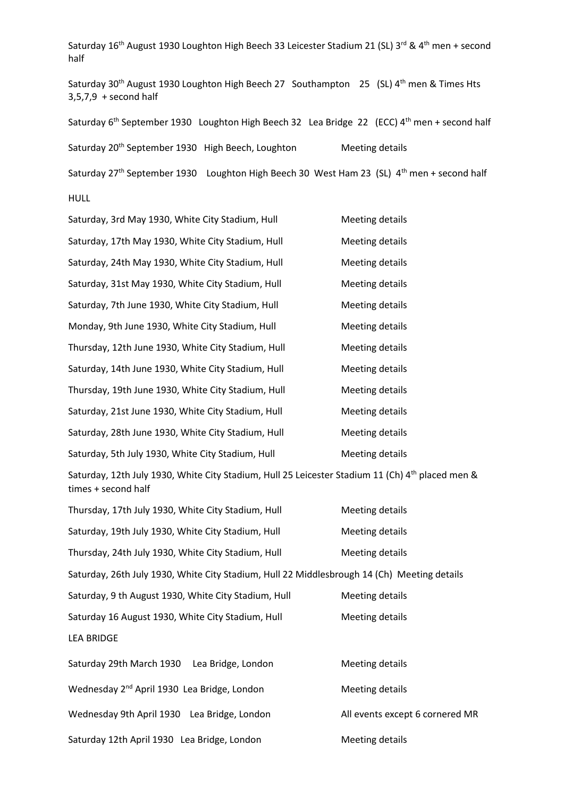Saturday 16<sup>th</sup> August 1930 Loughton High Beech 33 Leicester Stadium 21 (SL) 3<sup>rd</sup> & 4<sup>th</sup> men + second half

Saturday  $30<sup>th</sup>$  August 1930 Loughton High Beech 27 Southampton 25 (SL)  $4<sup>th</sup>$  men & Times Hts  $3,5,7,9$  + second half

Saturday 6<sup>th</sup> September 1930 Loughton High Beech 32 Lea Bridge 22 (ECC) 4<sup>th</sup> men + second half

Saturday 20<sup>th</sup> September 1930 High Beech, Loughton Meeting details

Saturday  $27<sup>th</sup>$  September 1930 Loughton High Beech 30 West Ham 23 (SL)  $4<sup>th</sup>$  men + second half HULL

Saturday, 3rd May 1930, White City Stadium, Hull Meeting details Saturday, 17th May 1930, White City Stadium, Hull Meeting details Saturday, 24th May 1930, White City Stadium, Hull Meeting details Saturday, 31st May 1930, White City Stadium, Hull Meeting details Saturday, 7th June 1930, White City Stadium, Hull Meeting details Monday, 9th June 1930, White City Stadium, Hull Meeting details Thursday, 12th June 1930, White City Stadium, Hull Meeting details Saturday, 14th June 1930, White City Stadium, Hull Meeting details Thursday, 19th June 1930, White City Stadium, Hull Meeting details Saturday, 21st June 1930, White City Stadium, Hull Meeting details Saturday, 28th June 1930, White City Stadium, Hull Meeting details Saturday, 5th July 1930, White City Stadium, Hull Meeting details Saturday, 12th July 1930, White City Stadium, Hull 25 Leicester Stadium 11 (Ch) 4<sup>th</sup> placed men & times + second half Thursday, 17th July 1930, White City Stadium, Hull Meeting details Saturday, 19th July 1930, White City Stadium, Hull Meeting details Thursday, 24th July 1930, White City Stadium, Hull Meeting details Saturday, 26th July 1930, White City Stadium, Hull 22 Middlesbrough 14 (Ch) Meeting details Saturday, 9 th August 1930, White City Stadium, Hull Meeting details Saturday 16 August 1930, White City Stadium, Hull Meeting details LEA BRIDGE Saturday 29th March 1930 Lea Bridge, London Meeting details Wednesday 2<sup>nd</sup> April 1930 Lea Bridge, London Meeting details Wednesday 9th April 1930 Lea Bridge, London All events except 6 cornered MR

Saturday 12th April 1930 Lea Bridge, London Meeting details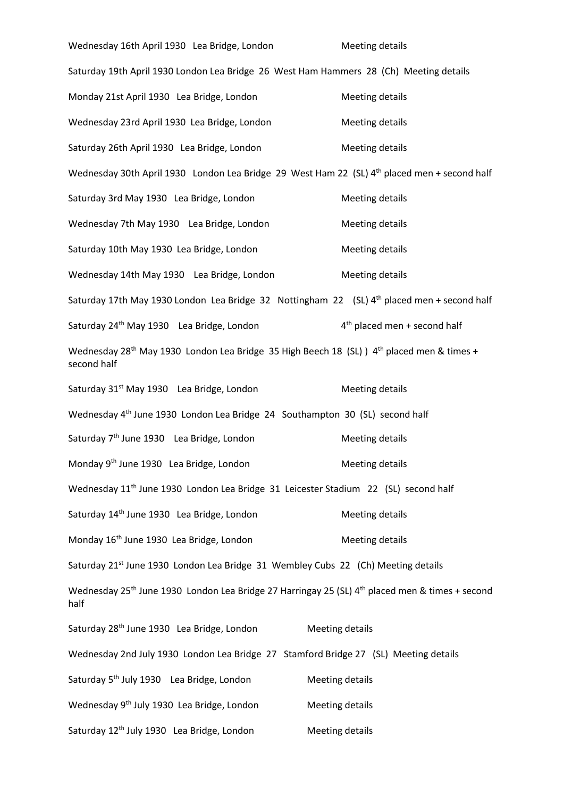Wednesday 16th April 1930 Lea Bridge, London Meeting details Saturday 19th April 1930 London Lea Bridge 26 West Ham Hammers 28 (Ch) Meeting details Monday 21st April 1930 Lea Bridge, London Meeting details Wednesday 23rd April 1930 Lea Bridge, London Meeting details Saturday 26th April 1930 Lea Bridge, London Meeting details Wednesday 30th April 1930 London Lea Bridge 29 West Ham 22 (SL) 4<sup>th</sup> placed men + second half Saturday 3rd May 1930 Lea Bridge, London Meeting details Wednesday 7th May 1930 Lea Bridge, London Meeting details Saturday 10th May 1930 Lea Bridge, London Meeting details Wednesday 14th May 1930 Lea Bridge, London Meeting details Saturday 17th May 1930 London Lea Bridge 32 Nottingham 22 (SL) 4<sup>th</sup> placed men + second half Saturday 24<sup>th</sup> May 1930 Lea Bridge, London and A<sup>th</sup> placed men + second half Wednesday 28<sup>th</sup> May 1930 London Lea Bridge 35 High Beech 18 (SL))  $4<sup>th</sup>$  placed men & times + second half Saturday 31<sup>st</sup> May 1930 Lea Bridge, London Meeting details Wednesday 4<sup>th</sup> June 1930 London Lea Bridge 24 Southampton 30 (SL) second half Saturday 7<sup>th</sup> June 1930 Lea Bridge, London Meeting details Monday 9<sup>th</sup> June 1930 Lea Bridge, London Meeting details Wednesday 11<sup>th</sup> June 1930 London Lea Bridge 31 Leicester Stadium 22 (SL) second half Saturday 14<sup>th</sup> June 1930 Lea Bridge, London Meeting details Monday 16<sup>th</sup> June 1930 Lea Bridge, London Meeting details Saturday  $21<sup>st</sup>$  June 1930 London Lea Bridge 31 Wembley Cubs 22 (Ch) Meeting details Wednesday 25<sup>th</sup> June 1930 London Lea Bridge 27 Harringay 25 (SL) 4<sup>th</sup> placed men & times + second half Saturday 28<sup>th</sup> June 1930 Lea Bridge, London Meeting details Wednesday 2nd July 1930 London Lea Bridge 27 Stamford Bridge 27 (SL) Meeting details Saturday 5<sup>th</sup> July 1930 Lea Bridge, London Meeting details Wednesday 9<sup>th</sup> July 1930 Lea Bridge, London Meeting details Saturday 12<sup>th</sup> July 1930 Lea Bridge, London Meeting details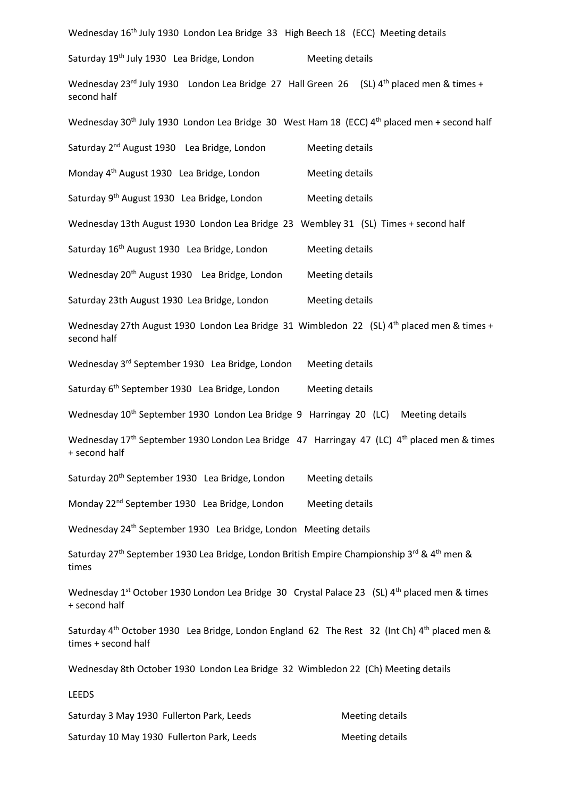Wednesday 16<sup>th</sup> July 1930 London Lea Bridge 33 High Beech 18 (ECC) Meeting details

| Saturday 19 <sup>th</sup> July 1930 Lea Bridge, London |  | Meeting details |
|--------------------------------------------------------|--|-----------------|
|--------------------------------------------------------|--|-----------------|

Wednesday 23<sup>rd</sup> July 1930 London Lea Bridge 27 Hall Green 26 (SL)  $4<sup>th</sup>$  placed men & times + second half

Wednesday 30<sup>th</sup> July 1930 London Lea Bridge 30 West Ham 18 (ECC)  $4<sup>th</sup>$  placed men + second half

| Saturday 2 <sup>nd</sup> August 1930 Lea Bridge, London | Meeting details |
|---------------------------------------------------------|-----------------|
| Monday 4th August 1930, Lea Bridge, London              | Mooting details |

| ivionday 4°° August 1930. Lea Bridge, London | <b>Neeting details</b> |
|----------------------------------------------|------------------------|
|                                              |                        |

Saturday 9<sup>th</sup> August 1930 Lea Bridge, London Meeting details

Wednesday 13th August 1930 London Lea Bridge 23 Wembley 31 (SL) Times + second half

Saturday 16<sup>th</sup> August 1930 Lea Bridge, London Meeting details

Wednesday 20<sup>th</sup> August 1930 Lea Bridge, London Meeting details

Saturday 23th August 1930 Lea Bridge, London Meeting details

Wednesday 27th August 1930 London Lea Bridge 31 Wimbledon 22 (SL) 4<sup>th</sup> placed men & times + second half

Wednesday 3<sup>rd</sup> September 1930 Lea Bridge, London Meeting details

Saturday 6<sup>th</sup> September 1930 Lea Bridge, London Meeting details

Wednesday 10<sup>th</sup> September 1930 London Lea Bridge 9 Harringay 20 (LC) Meeting details

Wednesday 17<sup>th</sup> September 1930 London Lea Bridge 47 Harringay 47 (LC) 4<sup>th</sup> placed men & times + second half

Saturday 20<sup>th</sup> September 1930 Lea Bridge, London Meeting details

Monday 22<sup>nd</sup> September 1930 Lea Bridge, London Meeting details

Wednesday 24<sup>th</sup> September 1930 Lea Bridge, London Meeting details

Saturday 27<sup>th</sup> September 1930 Lea Bridge, London British Empire Championship 3<sup>rd</sup> & 4<sup>th</sup> men & times

Wednesday 1<sup>st</sup> October 1930 London Lea Bridge 30 Crystal Palace 23 (SL)  $4<sup>th</sup>$  placed men & times + second half

Saturday  $4^{\text{th}}$  October 1930 Lea Bridge, London England 62 The Rest 32 (Int Ch)  $4^{\text{th}}$  placed men & times + second half

Wednesday 8th October 1930 London Lea Bridge 32 Wimbledon 22 (Ch) Meeting details

LEEDS Saturday 3 May 1930 Fullerton Park, Leeds Meeting details Saturday 10 May 1930 Fullerton Park, Leeds Meeting details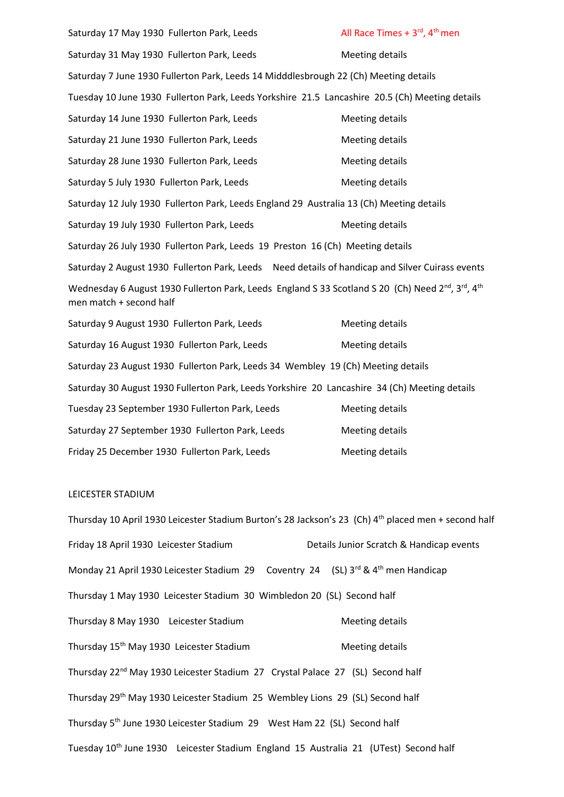Saturday 17 May 1930 Fullerton Park, Leeds All Race Times  $+3^{rd}$ , 4<sup>th</sup> men Saturday 31 May 1930 Fullerton Park, Leeds Meeting details Saturday 7 June 1930 Fullerton Park, Leeds 14 Midddlesbrough 22 (Ch) Meeting details Tuesday 10 June 1930 Fullerton Park, Leeds Yorkshire 21.5 Lancashire 20.5 (Ch) Meeting details Saturday 14 June 1930 Fullerton Park, Leeds Meeting details Saturday 21 June 1930 Fullerton Park, Leeds Meeting details Saturday 28 June 1930 Fullerton Park, Leeds Meeting details Saturday 5 July 1930 Fullerton Park, Leeds Meeting details Saturday 12 July 1930 Fullerton Park, Leeds England 29 Australia 13 (Ch) Meeting details Saturday 19 July 1930 Fullerton Park, Leeds Meeting details Saturday 26 July 1930 Fullerton Park, Leeds 19 Preston 16 (Ch) Meeting details Saturday 2 August 1930 Fullerton Park, Leeds Need details of handicap and Silver Cuirass events Wednesday 6 August 1930 Fullerton Park, Leeds England S 33 Scotland S 20 (Ch) Need 2<sup>nd</sup>, 3<sup>rd</sup>, 4<sup>th</sup> men match + second half Saturday 9 August 1930 Fullerton Park, Leeds Meeting details Saturday 16 August 1930 Fullerton Park, Leeds Meeting details Saturday 23 August 1930 Fullerton Park, Leeds 34 Wembley 19 (Ch) Meeting details Saturday 30 August 1930 Fullerton Park, Leeds Yorkshire 20 Lancashire 34 (Ch) Meeting details Tuesday 23 September 1930 Fullerton Park, Leeds Meeting details Saturday 27 September 1930 Fullerton Park, Leeds Meeting details Friday 25 December 1930 Fullerton Park, Leeds Meeting details

## LEICESTER STADIUM

Thursday 10 April 1930 Leicester Stadium Burton's 28 Jackson's 23 (Ch) 4th placed men + second half Friday 18 April 1930 Leicester Stadium Details Junior Scratch & Handicap events Monday 21 April 1930 Leicester Stadium 29 Coventry 24 (SL) 3rd & 4<sup>th</sup> men Handicap Thursday 1 May 1930 Leicester Stadium 30 Wimbledon 20 (SL) Second half Thursday 8 May 1930 Leicester Stadium Meeting details Thursday 15<sup>th</sup> May 1930 Leicester Stadium Meeting details Thursday 22nd May 1930 Leicester Stadium 27 Crystal Palace 27 (SL) Second half Thursday 29th May 1930 Leicester Stadium 25 Wembley Lions 29 (SL) Second half Thursday 5<sup>th</sup> June 1930 Leicester Stadium 29 West Ham 22 (SL) Second half Tuesday 10th June 1930 Leicester Stadium England 15 Australia 21 (UTest) Second half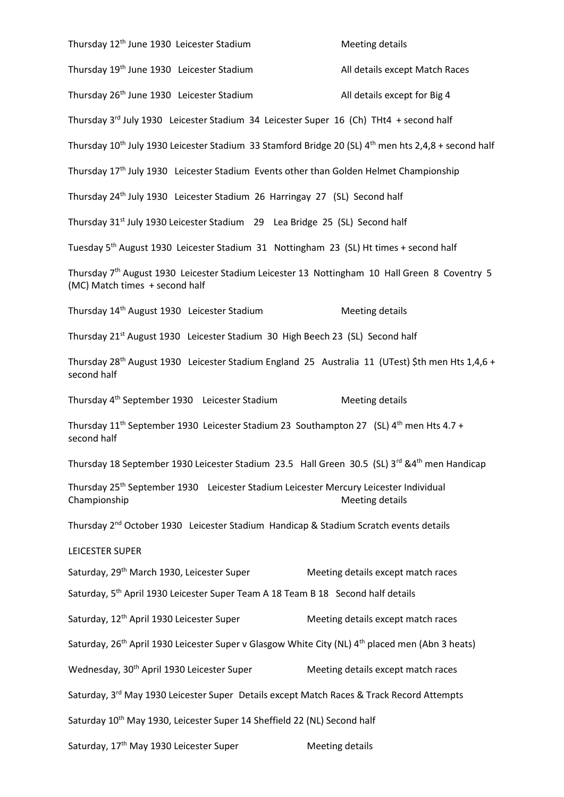Thursday 12<sup>th</sup> June 1930 Leicester Stadium Meeting details Thursday 19<sup>th</sup> June 1930 Leicester Stadium All details except Match Races Thursday 26<sup>th</sup> June 1930 Leicester Stadium All details except for Big 4 Thursday 3rd July 1930 Leicester Stadium 34 Leicester Super 16 (Ch) THt4 + second half Thursday 10<sup>th</sup> July 1930 Leicester Stadium 33 Stamford Bridge 20 (SL)  $4<sup>th</sup>$  men hts 2,4,8 + second half Thursday 17th July 1930 Leicester Stadium Events other than Golden Helmet Championship Thursday 24th July 1930 Leicester Stadium 26 Harringay 27 (SL) Second half Thursday 31<sup>st</sup> July 1930 Leicester Stadium 29 Lea Bridge 25 (SL) Second half Tuesday 5th August 1930 Leicester Stadium 31 Nottingham 23 (SL) Ht times + second half Thursday 7<sup>th</sup> August 1930 Leicester Stadium Leicester 13 Nottingham 10 Hall Green 8 Coventry 5 (MC) Match times + second half Thursday 14<sup>th</sup> August 1930 Leicester Stadium Meeting details Thursday 21<sup>st</sup> August 1930 Leicester Stadium 30 High Beech 23 (SL) Second half Thursday 28<sup>th</sup> August 1930 Leicester Stadium England 25 Australia 11 (UTest) \$th men Hts 1,4,6 + second half Thursday 4<sup>th</sup> September 1930 Leicester Stadium Meeting details Thursday  $11^{th}$  September 1930 Leicester Stadium 23 Southampton 27 (SL)  $4^{th}$  men Hts 4.7 + second half Thursday 18 September 1930 Leicester Stadium 23.5 Hall Green 30.5 (SL) 3rd &4<sup>th</sup> men Handicap Thursday 25th September 1930 Leicester Stadium Leicester Mercury Leicester Individual Championship **Meeting details** and the Meeting details and the Meeting details Thursday 2nd October 1930 Leicester Stadium Handicap & Stadium Scratch events details LEICESTER SUPER Saturday, 29<sup>th</sup> March 1930, Leicester Super Meeting details except match races Saturday, 5<sup>th</sup> April 1930 Leicester Super Team A 18 Team B 18 Second half details Saturday, 12<sup>th</sup> April 1930 Leicester Super Meeting details except match races Saturday, 26<sup>th</sup> April 1930 Leicester Super v Glasgow White City (NL) 4<sup>th</sup> placed men (Abn 3 heats) Wednesday, 30<sup>th</sup> April 1930 Leicester Super Meeting details except match races Saturday, 3rd May 1930 Leicester Super Details except Match Races & Track Record Attempts Saturday 10<sup>th</sup> May 1930, Leicester Super 14 Sheffield 22 (NL) Second half Saturday, 17<sup>th</sup> May 1930 Leicester Super Meeting details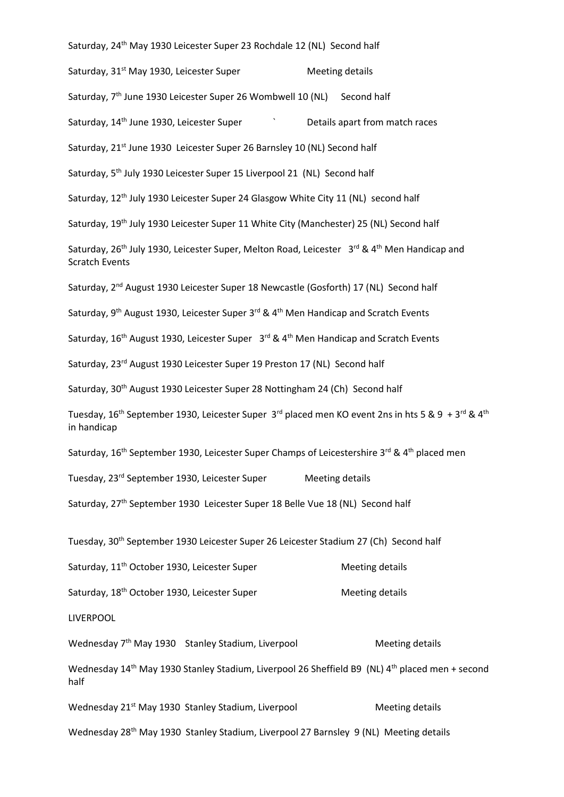Saturday, 24<sup>th</sup> May 1930 Leicester Super 23 Rochdale 12 (NL) Second half

Saturday, 31<sup>st</sup> May 1930, Leicester Super Meeting details

Saturday, 7<sup>th</sup> June 1930 Leicester Super 26 Wombwell 10 (NL) Second half

Saturday, 14<sup>th</sup> June 1930, Leicester Super **The Container Setter Setter Setter** Details apart from match races

Saturday, 21<sup>st</sup> June 1930 Leicester Super 26 Barnsley 10 (NL) Second half

Saturday, 5<sup>th</sup> July 1930 Leicester Super 15 Liverpool 21 (NL) Second half

Saturday, 12<sup>th</sup> July 1930 Leicester Super 24 Glasgow White City 11 (NL) second half

Saturday, 19th July 1930 Leicester Super 11 White City (Manchester) 25 (NL) Second half

Saturday, 26<sup>th</sup> July 1930, Leicester Super, Melton Road, Leicester 3<sup>rd</sup> & 4<sup>th</sup> Men Handicap and Scratch Events

Saturday, 2<sup>nd</sup> August 1930 Leicester Super 18 Newcastle (Gosforth) 17 (NL) Second half

Saturday, 9<sup>th</sup> August 1930, Leicester Super 3<sup>rd</sup> & 4<sup>th</sup> Men Handicap and Scratch Events

Saturday, 16<sup>th</sup> August 1930, Leicester Super 3<sup>rd</sup> & 4<sup>th</sup> Men Handicap and Scratch Events

Saturday, 23<sup>rd</sup> August 1930 Leicester Super 19 Preston 17 (NL) Second half

Saturday, 30<sup>th</sup> August 1930 Leicester Super 28 Nottingham 24 (Ch) Second half

Tuesday, 16<sup>th</sup> September 1930, Leicester Super 3<sup>rd</sup> placed men KO event 2ns in hts 5 & 9 + 3<sup>rd</sup> & 4<sup>th</sup> in handicap

Saturday, 16<sup>th</sup> September 1930, Leicester Super Champs of Leicestershire 3<sup>rd</sup> & 4<sup>th</sup> placed men

Tuesday, 23<sup>rd</sup> September 1930, Leicester Super Meeting details

Saturday, 27<sup>th</sup> September 1930 Leicester Super 18 Belle Vue 18 (NL) Second half

Tuesday, 30th September 1930 Leicester Super 26 Leicester Stadium 27 (Ch) Second half

Saturday, 11<sup>th</sup> October 1930, Leicester Super Meeting details

Saturday, 18<sup>th</sup> October 1930, Leicester Super Meeting details

LIVERPOOL

Wednesday 7<sup>th</sup> May 1930 Stanley Stadium, Liverpool Meeting details

Wednesday 14<sup>th</sup> May 1930 Stanley Stadium, Liverpool 26 Sheffield B9 (NL) 4<sup>th</sup> placed men + second half

Wednesday 21<sup>st</sup> May 1930 Stanley Stadium, Liverpool Meeting details

Wednesday 28<sup>th</sup> May 1930 Stanley Stadium, Liverpool 27 Barnsley 9 (NL) Meeting details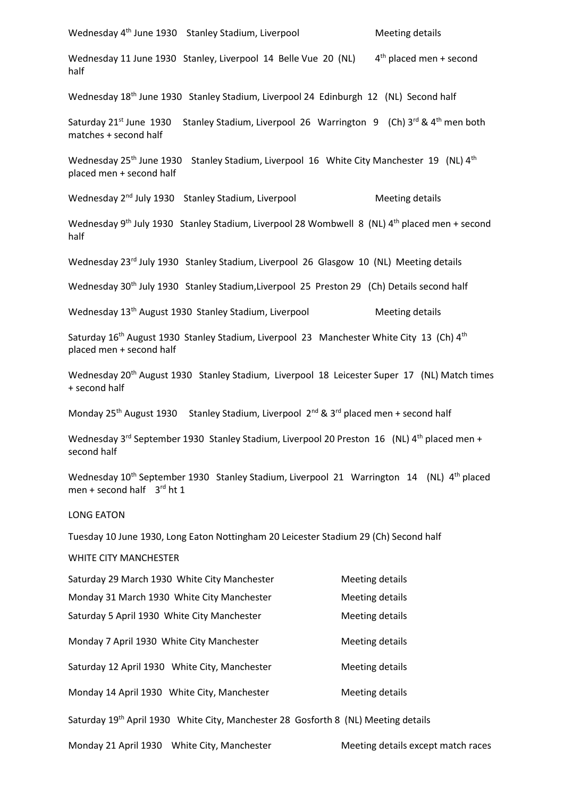Wednesday 4<sup>th</sup> June 1930 Stanley Stadium, Liverpool Meeting details Wednesday 11 June 1930 Stanley, Liverpool 14 Belle Vue 20 (NL) 4  $4<sup>th</sup>$  placed men + second half Wednesday 18<sup>th</sup> June 1930 Stanley Stadium, Liverpool 24 Edinburgh 12 (NL) Second half Saturday 21<sup>st</sup> June 1930 Stanley Stadium, Liverpool 26 Warrington 9 (Ch) 3<sup>rd</sup> & 4<sup>th</sup> men both matches + second half Wednesday 25<sup>th</sup> June 1930 Stanley Stadium, Liverpool 16 White City Manchester 19 (NL) 4<sup>th</sup> placed men + second half Wednesday 2<sup>nd</sup> July 1930 Stanley Stadium, Liverpool Meeting details Wednesday 9<sup>th</sup> July 1930 Stanley Stadium, Liverpool 28 Wombwell 8 (NL) 4<sup>th</sup> placed men + second half Wednesday 23<sup>rd</sup> July 1930 Stanley Stadium, Liverpool 26 Glasgow 10 (NL) Meeting details Wednesday 30<sup>th</sup> July 1930 Stanley Stadium,Liverpool 25 Preston 29 (Ch) Details second half Wednesday 13<sup>th</sup> August 1930 Stanley Stadium, Liverpool Meeting details Saturday 16<sup>th</sup> August 1930 Stanley Stadium, Liverpool 23 Manchester White City 13 (Ch)  $4<sup>th</sup>$ placed men + second half Wednesday 20<sup>th</sup> August 1930 Stanley Stadium, Liverpool 18 Leicester Super 17 (NL) Match times + second half Monday 25<sup>th</sup> August 1930 Stanley Stadium, Liverpool 2<sup>nd</sup> & 3<sup>rd</sup> placed men + second half Wednesday 3<sup>rd</sup> September 1930 Stanley Stadium, Liverpool 20 Preston 16 (NL) 4<sup>th</sup> placed men + second half Wednesday 10<sup>th</sup> September 1930 Stanley Stadium, Liverpool 21 Warrington 14 (NL) 4<sup>th</sup> placed men + second half  $3<sup>rd</sup>$  ht 1 LONG EATON Tuesday 10 June 1930, Long Eaton Nottingham 20 Leicester Stadium 29 (Ch) Second half WHITE CITY MANCHESTER Saturday 29 March 1930 White City Manchester Meeting details Monday 31 March 1930 White City Manchester Meeting details Saturday 5 April 1930 White City Manchester Meeting details Monday 7 April 1930 White City Manchester Meeting details Saturday 12 April 1930 White City, Manchester Meeting details Monday 14 April 1930 White City, Manchester Meeting details Saturday 19th April 1930 White City, Manchester 28 Gosforth 8 (NL) Meeting details Monday 21 April 1930 White City, Manchester Meeting details except match races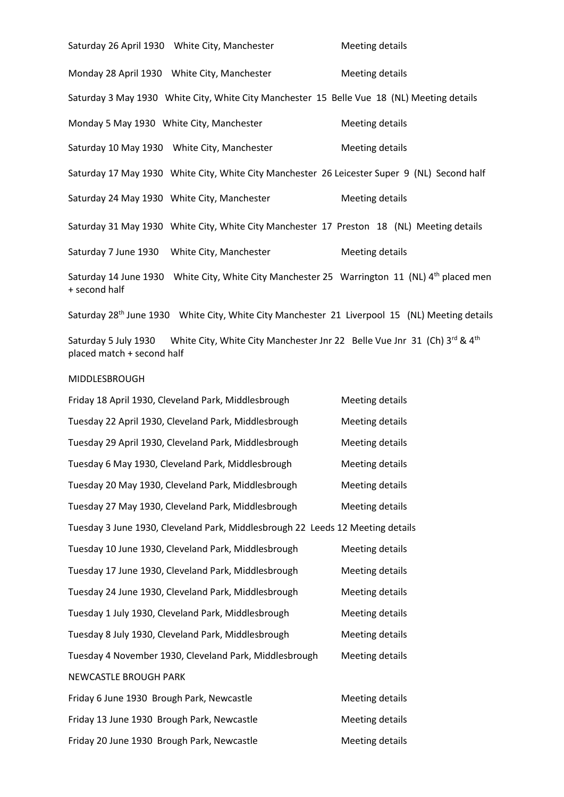Saturday 26 April 1930 White City, Manchester Meeting details Monday 28 April 1930 White City, Manchester Meeting details Saturday 3 May 1930 White City, White City Manchester 15 Belle Vue 18 (NL) Meeting details Monday 5 May 1930 White City, Manchester Meeting details Saturday 10 May 1930 White City, Manchester Meeting details Saturday 17 May 1930 White City, White City Manchester 26 Leicester Super 9 (NL) Second half Saturday 24 May 1930 White City, Manchester Meeting details Saturday 31 May 1930 White City, White City Manchester 17 Preston 18 (NL) Meeting details Saturday 7 June 1930 White City, Manchester Meeting details Saturday 14 June 1930 White City, White City Manchester 25 Warrington 11 (NL) 4<sup>th</sup> placed men + second half Saturday 28<sup>th</sup> June 1930 White City, White City Manchester 21 Liverpool 15 (NL) Meeting details Saturday 5 July 1930 White City, White City Manchester Jnr 22 Belle Vue Jnr 31 (Ch) 3rd & 4th placed match + second half MIDDLESBROUGH Friday 18 April 1930, Cleveland Park, Middlesbrough Meeting details Tuesday 22 April 1930, Cleveland Park, Middlesbrough Meeting details Tuesday 29 April 1930, Cleveland Park, Middlesbrough Meeting details Tuesday 6 May 1930, Cleveland Park, Middlesbrough Meeting details Tuesday 20 May 1930, Cleveland Park, Middlesbrough Meeting details Tuesday 27 May 1930, Cleveland Park, Middlesbrough Meeting details Tuesday 3 June 1930, Cleveland Park, Middlesbrough 22 Leeds 12 Meeting details Tuesday 10 June 1930, Cleveland Park, Middlesbrough Meeting details Tuesday 17 June 1930, Cleveland Park, Middlesbrough Meeting details Tuesday 24 June 1930, Cleveland Park, Middlesbrough Meeting details Tuesday 1 July 1930, Cleveland Park, Middlesbrough Meeting details

Tuesday 8 July 1930, Cleveland Park, Middlesbrough Meeting details

NEWCASTLE BROUGH PARK

Tuesday 4 November 1930, Cleveland Park, Middlesbrough Meeting details

| Friday 6 June 1930 Brough Park, Newcastle  | Meeting details |
|--------------------------------------------|-----------------|
| Friday 13 June 1930 Brough Park, Newcastle | Meeting details |
| Friday 20 June 1930 Brough Park, Newcastle | Meeting details |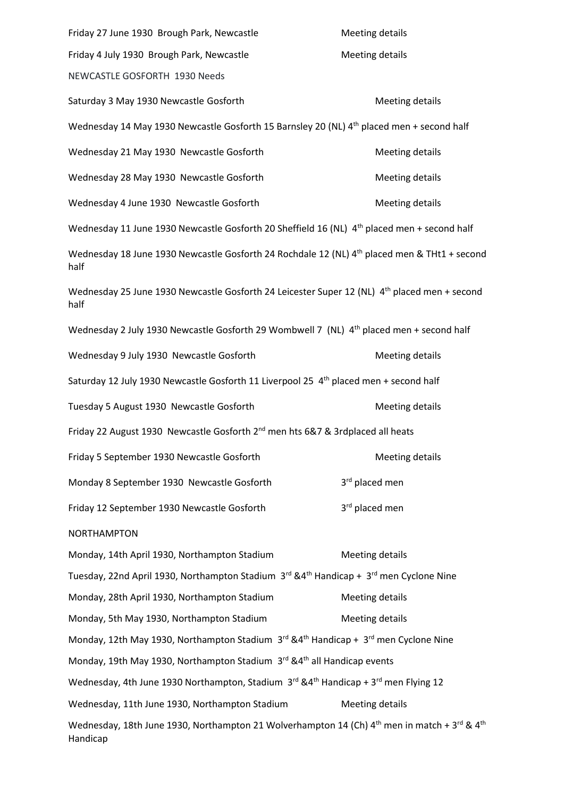| Friday 27 June 1930 Brough Park, Newcastle                                                                                                   | <b>Meeting details</b> |
|----------------------------------------------------------------------------------------------------------------------------------------------|------------------------|
| Friday 4 July 1930 Brough Park, Newcastle                                                                                                    | <b>Meeting details</b> |
| NEWCASTLE GOSFORTH 1930 Needs                                                                                                                |                        |
| Saturday 3 May 1930 Newcastle Gosforth                                                                                                       | Meeting details        |
| Wednesday 14 May 1930 Newcastle Gosforth 15 Barnsley 20 (NL) 4th placed men + second half                                                    |                        |
| Wednesday 21 May 1930 Newcastle Gosforth                                                                                                     | <b>Meeting details</b> |
| Wednesday 28 May 1930 Newcastle Gosforth                                                                                                     | <b>Meeting details</b> |
| Wednesday 4 June 1930 Newcastle Gosforth                                                                                                     | <b>Meeting details</b> |
| Wednesday 11 June 1930 Newcastle Gosforth 20 Sheffield 16 (NL) 4th placed men + second half                                                  |                        |
| Wednesday 18 June 1930 Newcastle Gosforth 24 Rochdale 12 (NL) 4 <sup>th</sup> placed men & THt1 + second<br>half                             |                        |
| Wednesday 25 June 1930 Newcastle Gosforth 24 Leicester Super 12 (NL) 4 <sup>th</sup> placed men + second<br>half                             |                        |
| Wednesday 2 July 1930 Newcastle Gosforth 29 Wombwell 7 (NL) 4 <sup>th</sup> placed men + second half                                         |                        |
| Wednesday 9 July 1930 Newcastle Gosforth                                                                                                     | <b>Meeting details</b> |
| Saturday 12 July 1930 Newcastle Gosforth 11 Liverpool 25 4 <sup>th</sup> placed men + second half                                            |                        |
| Tuesday 5 August 1930 Newcastle Gosforth                                                                                                     | <b>Meeting details</b> |
| Friday 22 August 1930 Newcastle Gosforth 2 <sup>nd</sup> men hts 6&7 & 3rdplaced all heats                                                   |                        |
| Friday 5 September 1930 Newcastle Gosforth                                                                                                   | Meeting details        |
| Monday 8 September 1930 Newcastle Gosforth                                                                                                   | 3rd placed men         |
| Friday 12 September 1930 Newcastle Gosforth                                                                                                  | 3rd placed men         |
| NORTHAMPTON                                                                                                                                  |                        |
| Monday, 14th April 1930, Northampton Stadium                                                                                                 | <b>Meeting details</b> |
| Tuesday, 22nd April 1930, Northampton Stadium 3rd & 4 <sup>th</sup> Handicap + 3rd men Cyclone Nine                                          |                        |
| Monday, 28th April 1930, Northampton Stadium                                                                                                 | <b>Meeting details</b> |
| Monday, 5th May 1930, Northampton Stadium                                                                                                    | Meeting details        |
| Monday, 12th May 1930, Northampton Stadium 3rd &4th Handicap + 3rd men Cyclone Nine                                                          |                        |
| Monday, 19th May 1930, Northampton Stadium 3rd & 4 <sup>th</sup> all Handicap events                                                         |                        |
| Wednesday, 4th June 1930 Northampton, Stadium 3rd &4 <sup>th</sup> Handicap + 3rd men Flying 12                                              |                        |
| Wednesday, 11th June 1930, Northampton Stadium                                                                                               | <b>Meeting details</b> |
| Wednesday, 18th June 1930, Northampton 21 Wolverhampton 14 (Ch) 4 <sup>th</sup> men in match + 3 <sup>rd</sup> & 4 <sup>th</sup><br>Handicap |                        |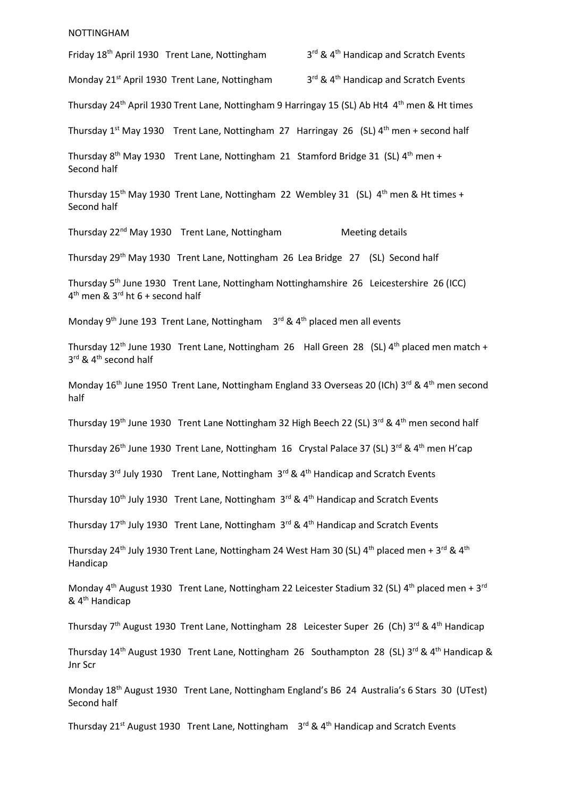#### NOTTINGHAM

Friday 18th April 1930 Trent Lane, Nottingham 3  $3<sup>rd</sup>$  & 4<sup>th</sup> Handicap and Scratch Events Monday 21<sup>st</sup> April 1930 Trent Lane, Nottingham  $3^{\text{rd}}$  & 4<sup>th</sup> Handicap and Scratch Events Thursday 24<sup>th</sup> April 1930 Trent Lane, Nottingham 9 Harringay 15 (SL) Ab Ht4 4<sup>th</sup> men & Ht times Thursday  $1^{st}$  May 1930 Trent Lane, Nottingham 27 Harringay 26 (SL)  $4^{th}$  men + second half Thursday 8<sup>th</sup> May 1930 Trent Lane, Nottingham 21 Stamford Bridge 31 (SL) 4<sup>th</sup> men + Second half Thursday 15<sup>th</sup> May 1930 Trent Lane, Nottingham 22 Wembley 31 (SL) 4<sup>th</sup> men & Ht times + Second half Thursday 22<sup>nd</sup> May 1930 Trent Lane, Nottingham Meeting details Thursday 29th May 1930 Trent Lane, Nottingham 26 Lea Bridge 27 (SL) Second half Thursday 5th June 1930 Trent Lane, Nottingham Nottinghamshire 26 Leicestershire 26 (ICC) 4<sup>th</sup> men & 3<sup>rd</sup> ht 6 + second half Monday 9<sup>th</sup> June 193 Trent Lane, Nottingham  $3<sup>rd</sup>$  & 4<sup>th</sup> placed men all events Thursday 12<sup>th</sup> June 1930 Trent Lane, Nottingham 26 Hall Green 28 (SL)  $4<sup>th</sup>$  placed men match + 3<sup>rd</sup> & 4<sup>th</sup> second half

Monday 16<sup>th</sup> June 1950 Trent Lane, Nottingham England 33 Overseas 20 (ICh) 3<sup>rd</sup> & 4<sup>th</sup> men second half

Thursday 19<sup>th</sup> June 1930 Trent Lane Nottingham 32 High Beech 22 (SL) 3<sup>rd</sup> & 4<sup>th</sup> men second half

Thursday 26<sup>th</sup> June 1930 Trent Lane, Nottingham 16 Crystal Palace 37 (SL) 3<sup>rd</sup> & 4<sup>th</sup> men H'cap

Thursday 3<sup>rd</sup> July 1930 Trent Lane, Nottingham 3<sup>rd</sup> & 4<sup>th</sup> Handicap and Scratch Events

Thursday  $10^{th}$  July 1930 Trent Lane, Nottingham  $3^{rd}$  & 4<sup>th</sup> Handicap and Scratch Events

Thursday  $17<sup>th</sup>$  July 1930 Trent Lane, Nottingham  $3<sup>rd</sup>$  & 4<sup>th</sup> Handicap and Scratch Events

Thursday 24<sup>th</sup> July 1930 Trent Lane, Nottingham 24 West Ham 30 (SL) 4<sup>th</sup> placed men + 3<sup>rd</sup> & 4<sup>th</sup> Handicap

Monday 4<sup>th</sup> August 1930 Trent Lane, Nottingham 22 Leicester Stadium 32 (SL) 4<sup>th</sup> placed men + 3<sup>rd</sup>  $& 4<sup>th</sup>$  Handicap

Thursday 7<sup>th</sup> August 1930 Trent Lane, Nottingham 28 Leicester Super 26 (Ch) 3<sup>rd</sup> & 4<sup>th</sup> Handicap

Thursday 14<sup>th</sup> August 1930 Trent Lane, Nottingham 26 Southampton 28 (SL) 3<sup>rd</sup> & 4<sup>th</sup> Handicap & Jnr Scr

Monday 18th August 1930 Trent Lane, Nottingham England's B6 24 Australia's 6 Stars 30 (UTest) Second half

Thursday 21<sup>st</sup> August 1930 Trent Lane, Nottingham  $-3$ <sup>rd</sup> & 4<sup>th</sup> Handicap and Scratch Events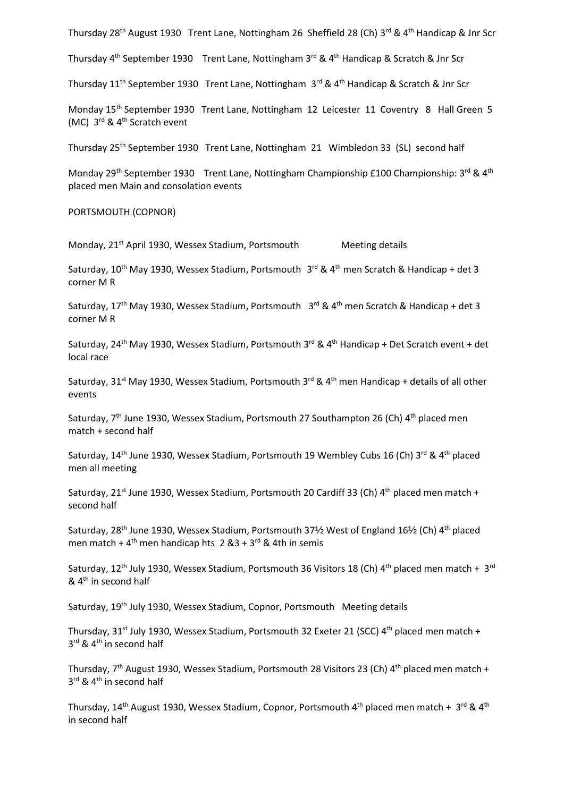Thursday 28<sup>th</sup> August 1930 Trent Lane, Nottingham 26 Sheffield 28 (Ch) 3<sup>rd</sup> & 4<sup>th</sup> Handicap & Jnr Scr

Thursday 4<sup>th</sup> September 1930 Trent Lane, Nottingham 3<sup>rd</sup> & 4<sup>th</sup> Handicap & Scratch & Jnr Scr

Thursday 11<sup>th</sup> September 1930 Trent Lane, Nottingham  $3^{rd}$  & 4<sup>th</sup> Handicap & Scratch & Jnr Scr

Monday 15th September 1930 Trent Lane, Nottingham 12 Leicester 11 Coventry 8 Hall Green 5 (MC) 3rd & 4th Scratch event

Thursday 25<sup>th</sup> September 1930 Trent Lane, Nottingham 21 Wimbledon 33 (SL) second half

Monday 29<sup>th</sup> September 1930 Trent Lane, Nottingham Championship £100 Championship: 3<sup>rd</sup> & 4<sup>th</sup> placed men Main and consolation events

PORTSMOUTH (COPNOR)

Monday, 21<sup>st</sup> April 1930, Wessex Stadium, Portsmouth Meeting details

Saturday, 10<sup>th</sup> May 1930, Wessex Stadium, Portsmouth 3<sup>rd</sup> & 4<sup>th</sup> men Scratch & Handicap + det 3 corner M R

Saturday, 17<sup>th</sup> May 1930, Wessex Stadium, Portsmouth 3<sup>rd</sup> & 4<sup>th</sup> men Scratch & Handicap + det 3 corner M R

Saturday, 24<sup>th</sup> May 1930, Wessex Stadium, Portsmouth 3<sup>rd</sup> & 4<sup>th</sup> Handicap + Det Scratch event + det local race

Saturday, 31<sup>st</sup> May 1930, Wessex Stadium, Portsmouth 3<sup>rd</sup> & 4<sup>th</sup> men Handicap + details of all other events

Saturday, 7<sup>th</sup> June 1930, Wessex Stadium, Portsmouth 27 Southampton 26 (Ch) 4<sup>th</sup> placed men match + second half

Saturday, 14<sup>th</sup> June 1930, Wessex Stadium, Portsmouth 19 Wembley Cubs 16 (Ch) 3<sup>rd</sup> & 4<sup>th</sup> placed men all meeting

Saturday, 21<sup>st</sup> June 1930, Wessex Stadium, Portsmouth 20 Cardiff 33 (Ch) 4<sup>th</sup> placed men match + second half

Saturday, 28<sup>th</sup> June 1930, Wessex Stadium, Portsmouth 37½ West of England 16½ (Ch) 4<sup>th</sup> placed men match +  $4^{\text{th}}$  men handicap hts 2 & 3 + 3<sup>rd</sup> & 4th in semis

Saturday, 12<sup>th</sup> July 1930, Wessex Stadium, Portsmouth 36 Visitors 18 (Ch) 4<sup>th</sup> placed men match + 3<sup>rd</sup>  $&$  4<sup>th</sup> in second half

Saturday, 19th July 1930, Wessex Stadium, Copnor, Portsmouth Meeting details

Thursday, 31<sup>st</sup> July 1930, Wessex Stadium, Portsmouth 32 Exeter 21 (SCC) 4<sup>th</sup> placed men match + 3<sup>rd</sup> & 4<sup>th</sup> in second half

Thursday, 7<sup>th</sup> August 1930, Wessex Stadium, Portsmouth 28 Visitors 23 (Ch) 4<sup>th</sup> placed men match + 3<sup>rd</sup> & 4<sup>th</sup> in second half

Thursday, 14<sup>th</sup> August 1930, Wessex Stadium, Copnor, Portsmouth 4<sup>th</sup> placed men match + 3<sup>rd</sup> & 4<sup>th</sup> in second half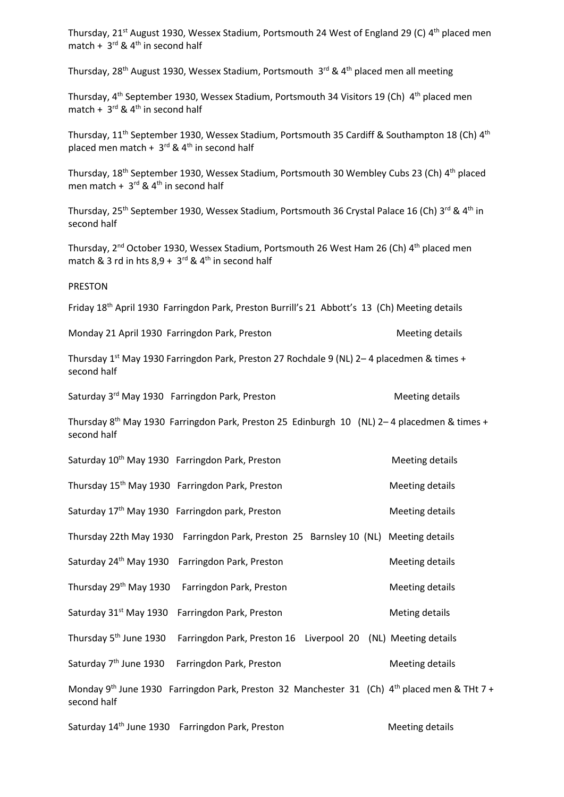Thursday, 21<sup>st</sup> August 1930, Wessex Stadium, Portsmouth 24 West of England 29 (C) 4<sup>th</sup> placed men match +  $3^{rd}$  & 4<sup>th</sup> in second half

Thursday, 28<sup>th</sup> August 1930, Wessex Stadium, Portsmouth 3<sup>rd</sup> & 4<sup>th</sup> placed men all meeting

Thursday, 4<sup>th</sup> September 1930, Wessex Stadium, Portsmouth 34 Visitors 19 (Ch) 4<sup>th</sup> placed men match +  $3^{rd}$  & 4<sup>th</sup> in second half

Thursday, 11<sup>th</sup> September 1930, Wessex Stadium, Portsmouth 35 Cardiff & Southampton 18 (Ch) 4<sup>th</sup> placed men match +  $3^{rd}$  & 4<sup>th</sup> in second half

Thursday, 18<sup>th</sup> September 1930, Wessex Stadium, Portsmouth 30 Wembley Cubs 23 (Ch) 4<sup>th</sup> placed men match +  $3^{rd}$  & 4<sup>th</sup> in second half

Thursday, 25<sup>th</sup> September 1930, Wessex Stadium, Portsmouth 36 Crystal Palace 16 (Ch) 3<sup>rd</sup> & 4<sup>th</sup> in second half

Thursday, 2<sup>nd</sup> October 1930, Wessex Stadium, Portsmouth 26 West Ham 26 (Ch) 4<sup>th</sup> placed men match & 3 rd in hts  $8.9 + 3$ <sup>rd</sup> & 4<sup>th</sup> in second half

PRESTON

Friday 18<sup>th</sup> April 1930 Farringdon Park, Preston Burrill's 21 Abbott's 13 (Ch) Meeting details

Monday 21 April 1930 Farringdon Park, Preston Meeting details Meeting details

Thursday 1<sup>st</sup> May 1930 Farringdon Park, Preston 27 Rochdale 9 (NL) 2–4 placedmen & times + second half

Saturday 3<sup>rd</sup> May 1930 Farringdon Park, Preston Meeting details

Thursday 8<sup>th</sup> May 1930 Farringdon Park, Preston 25 Edinburgh 10 (NL) 2-4 placedmen & times + second half

|             | Saturday 10 <sup>th</sup> May 1930 Farringdon Park, Preston                                                          | Meeting details |
|-------------|----------------------------------------------------------------------------------------------------------------------|-----------------|
|             | Thursday 15 <sup>th</sup> May 1930 Farringdon Park, Preston                                                          | Meeting details |
|             | Saturday 17 <sup>th</sup> May 1930 Farringdon park, Preston                                                          | Meeting details |
|             | Thursday 22th May 1930 Farringdon Park, Preston 25 Barnsley 10 (NL) Meeting details                                  |                 |
|             | Saturday 24 <sup>th</sup> May 1930 Farringdon Park, Preston                                                          | Meeting details |
|             | Thursday 29 <sup>th</sup> May 1930 Farringdon Park, Preston                                                          | Meeting details |
|             | Saturday 31 <sup>st</sup> May 1930 Farringdon Park, Preston                                                          | Meting details  |
|             | Thursday 5 <sup>th</sup> June 1930 Farringdon Park, Preston 16 Liverpool 20 (NL) Meeting details                     |                 |
|             | Saturday 7 <sup>th</sup> June 1930 Farringdon Park, Preston                                                          | Meeting details |
| second half | Monday 9 <sup>th</sup> June 1930 Farringdon Park, Preston 32 Manchester 31 (Ch) 4 <sup>th</sup> placed men & THt 7 + |                 |
|             | Saturday 14 <sup>th</sup> June 1930 Farringdon Park, Preston                                                         | Meeting details |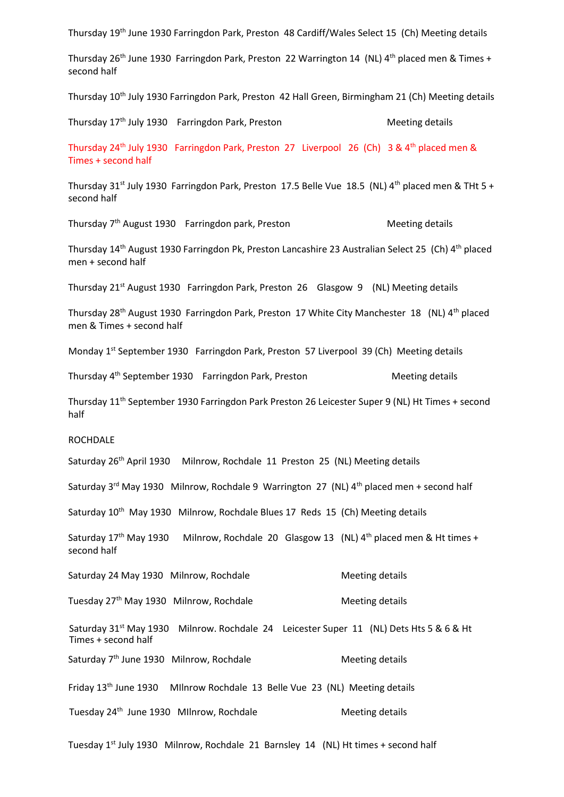Thursday 19<sup>th</sup> June 1930 Farringdon Park, Preston 48 Cardiff/Wales Select 15 (Ch) Meeting details Thursday 26<sup>th</sup> June 1930 Farringdon Park, Preston 22 Warrington 14 (NL)  $4^{th}$  placed men & Times + second half Thursday 10<sup>th</sup> July 1930 Farringdon Park, Preston 42 Hall Green, Birmingham 21 (Ch) Meeting details Thursday 17<sup>th</sup> July 1930 Farringdon Park, Preston Meeting details Thursday 24<sup>th</sup> July 1930 Farringdon Park, Preston 27 Liverpool 26 (Ch) 3 & 4<sup>th</sup> placed men & Times + second half Thursday 31<sup>st</sup> July 1930 Farringdon Park, Preston 17.5 Belle Vue 18.5 (NL)  $4^{th}$  placed men & THt 5 + second half Thursday 7<sup>th</sup> August 1930 Farringdon park, Preston Meeting details Thursday 14<sup>th</sup> August 1930 Farringdon Pk, Preston Lancashire 23 Australian Select 25 (Ch) 4<sup>th</sup> placed men + second half Thursday 21st August 1930 Farringdon Park, Preston 26 Glasgow 9 (NL) Meeting details Thursday 28<sup>th</sup> August 1930 Farringdon Park, Preston 17 White City Manchester 18 (NL) 4<sup>th</sup> placed men & Times + second half Monday 1<sup>st</sup> September 1930 Farringdon Park, Preston 57 Liverpool 39 (Ch) Meeting details Thursday 4<sup>th</sup> September 1930 Farringdon Park, Preston Meeting details Thursday 11th September 1930 Farringdon Park Preston 26 Leicester Super 9 (NL) Ht Times + second half ROCHDALE Saturday 26<sup>th</sup> April 1930 Milnrow, Rochdale 11 Preston 25 (NL) Meeting details Saturday 3<sup>rd</sup> May 1930 Milnrow, Rochdale 9 Warrington 27 (NL) 4<sup>th</sup> placed men + second half Saturday 10<sup>th</sup> May 1930 Milnrow, Rochdale Blues 17 Reds 15 (Ch) Meeting details Saturday  $17^{th}$  May 1930 Milnrow, Rochdale 20 Glasgow 13 (NL)  $4^{th}$  placed men & Ht times + second half Saturday 24 May 1930 Milnrow, Rochdale Meeting details Tuesday 27<sup>th</sup> May 1930 Milnrow, Rochdale Meeting details Saturday 31st May 1930 Milnrow. Rochdale 24 Leicester Super 11 (NL) Dets Hts 5 & 6 & Ht Times + second half Saturday 7<sup>th</sup> June 1930 Milnrow, Rochdale Meeting details Friday 13th June 1930 MIlnrow Rochdale 13 Belle Vue 23 (NL) Meeting details Tuesday 24<sup>th</sup> June 1930 Milnrow, Rochdale Meeting details Tuesday 1<sup>st</sup> July 1930 Milnrow, Rochdale 21 Barnsley 14 (NL) Ht times + second half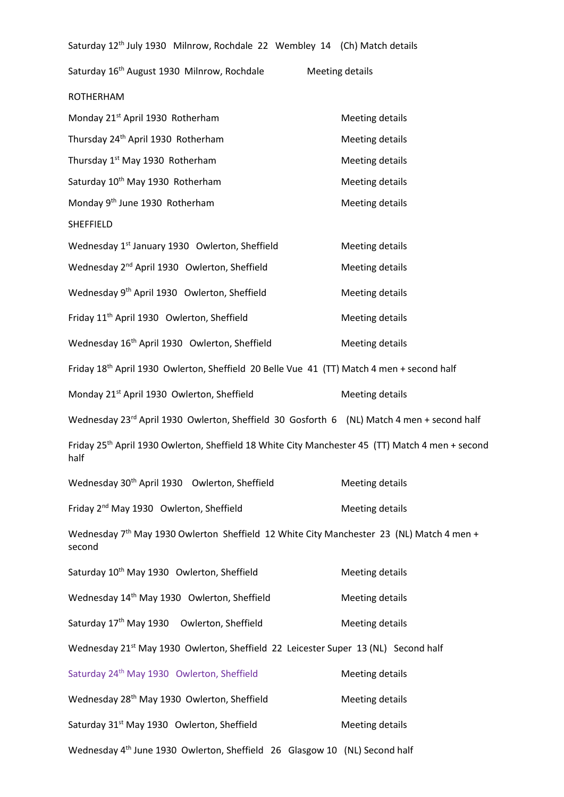| Saturday 12 <sup>th</sup> July 1930 Milnrow, Rochdale 22 Wembley 14 (Ch) Match details                               |                        |
|----------------------------------------------------------------------------------------------------------------------|------------------------|
| Saturday 16 <sup>th</sup> August 1930 Milnrow, Rochdale                                                              | Meeting details        |
| <b>ROTHERHAM</b>                                                                                                     |                        |
| Monday 21 <sup>st</sup> April 1930 Rotherham                                                                         | Meeting details        |
| Thursday 24 <sup>th</sup> April 1930 Rotherham                                                                       | Meeting details        |
| Thursday 1 <sup>st</sup> May 1930 Rotherham                                                                          | Meeting details        |
| Saturday 10th May 1930 Rotherham                                                                                     | <b>Meeting details</b> |
| Monday 9th June 1930 Rotherham                                                                                       | Meeting details        |
| SHEFFIELD                                                                                                            |                        |
| Wednesday 1 <sup>st</sup> January 1930 Owlerton, Sheffield                                                           | <b>Meeting details</b> |
| Wednesday 2 <sup>nd</sup> April 1930 Owlerton, Sheffield                                                             | <b>Meeting details</b> |
| Wednesday 9 <sup>th</sup> April 1930 Owlerton, Sheffield                                                             | <b>Meeting details</b> |
| Friday 11 <sup>th</sup> April 1930 Owlerton, Sheffield                                                               | <b>Meeting details</b> |
| Wednesday 16 <sup>th</sup> April 1930 Owlerton, Sheffield                                                            | <b>Meeting details</b> |
| Friday 18th April 1930 Owlerton, Sheffield 20 Belle Vue 41 (TT) Match 4 men + second half                            |                        |
| Monday 21 <sup>st</sup> April 1930 Owlerton, Sheffield                                                               | <b>Meeting details</b> |
| Wednesday 23 <sup>rd</sup> April 1930 Owlerton, Sheffield 30 Gosforth 6 (NL) Match 4 men + second half               |                        |
| Friday 25 <sup>th</sup> April 1930 Owlerton, Sheffield 18 White City Manchester 45 (TT) Match 4 men + second<br>half |                        |
| Wednesday 30 <sup>th</sup> April 1930 Owlerton, Sheffield                                                            | Meeting details        |
| Friday 2 <sup>nd</sup> May 1930 Owlerton, Sheffield                                                                  | Meeting details        |
| Wednesday 7 <sup>th</sup> May 1930 Owlerton Sheffield 12 White City Manchester 23 (NL) Match 4 men +<br>second       |                        |
| Saturday 10 <sup>th</sup> May 1930 Owlerton, Sheffield                                                               | <b>Meeting details</b> |
| Wednesday 14 <sup>th</sup> May 1930 Owlerton, Sheffield                                                              | <b>Meeting details</b> |
| Saturday 17th May 1930 Owlerton, Sheffield                                                                           | Meeting details        |
| Wednesday 21 <sup>st</sup> May 1930 Owlerton, Sheffield 22 Leicester Super 13 (NL) Second half                       |                        |
| Saturday 24th May 1930 Owlerton, Sheffield                                                                           | <b>Meeting details</b> |
| Wednesday 28 <sup>th</sup> May 1930 Owlerton, Sheffield                                                              | Meeting details        |
| Saturday 31 <sup>st</sup> May 1930 Owlerton, Sheffield                                                               | Meeting details        |
| Wednesday 4 <sup>th</sup> June 1930 Owlerton, Sheffield 26 Glasgow 10 (NL) Second half                               |                        |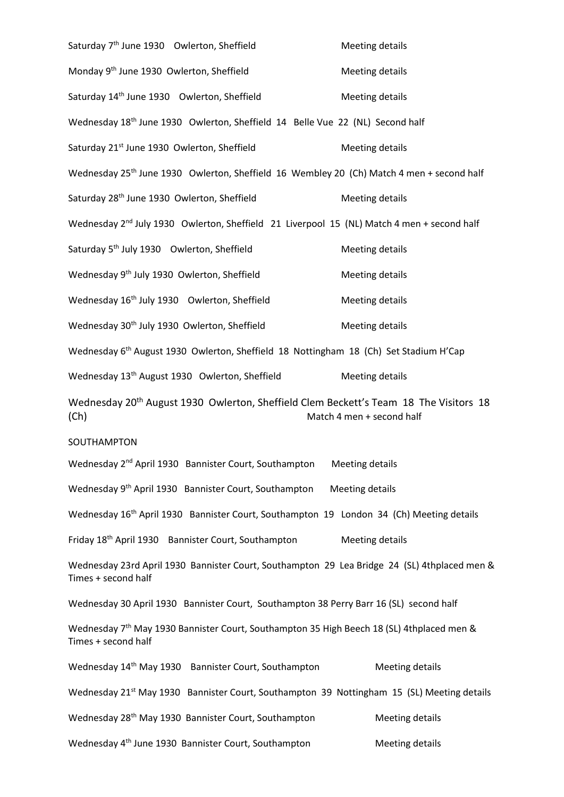Saturday  $7<sup>th</sup>$  June 1930 Owlerton, Sheffield Meeting details Monday  $9<sup>th</sup>$  June 1930 Owlerton, Sheffield Meeting details Saturday 14<sup>th</sup> June 1930 Owlerton, Sheffield Meeting details Wednesday 18th June 1930 Owlerton, Sheffield 14 Belle Vue 22 (NL) Second half Saturday 21<sup>st</sup> June 1930 Owlerton, Sheffield Meeting details Wednesday 25<sup>th</sup> June 1930 Owlerton, Sheffield 16 Wembley 20 (Ch) Match 4 men + second half Saturday 28<sup>th</sup> June 1930 Owlerton, Sheffield Meeting details Wednesday 2<sup>nd</sup> July 1930 Owlerton, Sheffield 21 Liverpool 15 (NL) Match 4 men + second half Saturday 5<sup>th</sup> July 1930 Owlerton, Sheffield Meeting details Wednesday  $9<sup>th</sup>$  July 1930 Owlerton, Sheffield Meeting details Wednesday 16<sup>th</sup> July 1930 Owlerton, Sheffield Meeting details Wednesday 30<sup>th</sup> July 1930 Owlerton, Sheffield Meeting details Wednesday 6th August 1930 Owlerton, Sheffield 18 Nottingham 18 (Ch) Set Stadium H'Cap Wednesday 13<sup>th</sup> August 1930 Owlerton, Sheffield Meeting details Wednesday 20<sup>th</sup> August 1930 Owlerton, Sheffield Clem Beckett's Team 18 The Visitors 18 (Ch) Match 4 men + second half SOUTHAMPTON Wednesday 2<sup>nd</sup> April 1930 Bannister Court, Southampton Meeting details Wednesday 9<sup>th</sup> April 1930 Bannister Court, Southampton Meeting details Wednesday 16<sup>th</sup> April 1930 Bannister Court, Southampton 19 London 34 (Ch) Meeting details Friday 18<sup>th</sup> April 1930 Bannister Court, Southampton Meeting details Wednesday 23rd April 1930 Bannister Court, Southampton 29 Lea Bridge 24 (SL) 4thplaced men & Times + second half Wednesday 30 April 1930 Bannister Court, Southampton 38 Perry Barr 16 (SL) second half Wednesday 7<sup>th</sup> May 1930 Bannister Court, Southampton 35 High Beech 18 (SL) 4thplaced men & Times + second half Wednesday 14<sup>th</sup> May 1930 Bannister Court, Southampton Meeting details Wednesday 21<sup>st</sup> May 1930 Bannister Court, Southampton 39 Nottingham 15 (SL) Meeting details Wednesday 28<sup>th</sup> May 1930 Bannister Court, Southampton Meeting details Wednesday 4<sup>th</sup> June 1930 Bannister Court, Southampton Meeting details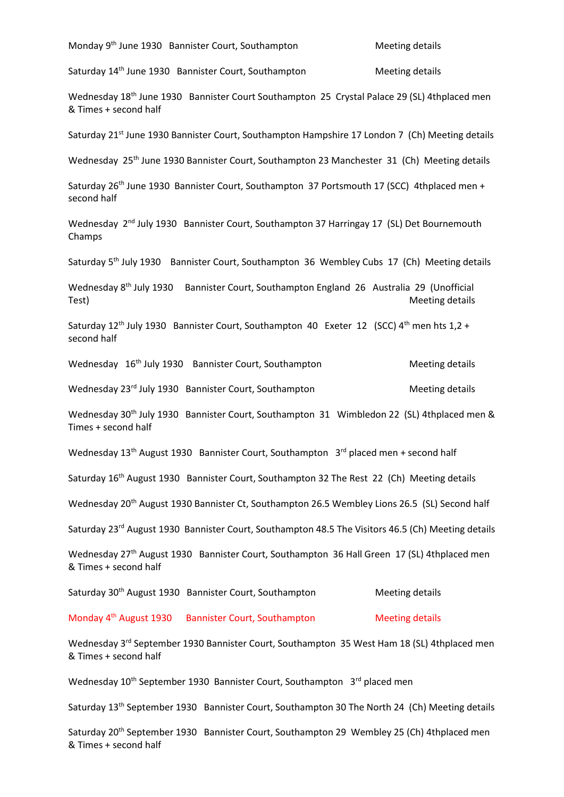| Monday 9 <sup>th</sup> June 1930 Bannister Court, Southampton                                                                     | <b>Meeting details</b> |  |  |
|-----------------------------------------------------------------------------------------------------------------------------------|------------------------|--|--|
| Saturday 14 <sup>th</sup> June 1930 Bannister Court, Southampton                                                                  | Meeting details        |  |  |
| Wednesday 18 <sup>th</sup> June 1930 Bannister Court Southampton 25 Crystal Palace 29 (SL) 4thplaced men<br>& Times + second half |                        |  |  |
| Saturday 21 <sup>st</sup> June 1930 Bannister Court, Southampton Hampshire 17 London 7 (Ch) Meeting details                       |                        |  |  |
| Wednesday 25 <sup>th</sup> June 1930 Bannister Court, Southampton 23 Manchester 31 (Ch) Meeting details                           |                        |  |  |
| Saturday 26 <sup>th</sup> June 1930 Bannister Court, Southampton 37 Portsmouth 17 (SCC) 4thplaced men +<br>second half            |                        |  |  |
| Wednesday 2 <sup>nd</sup> July 1930 Bannister Court, Southampton 37 Harringay 17 (SL) Det Bournemouth<br>Champs                   |                        |  |  |
| Saturday 5 <sup>th</sup> July 1930 Bannister Court, Southampton 36 Wembley Cubs 17 (Ch) Meeting details                           |                        |  |  |
| Wednesday 8 <sup>th</sup> July 1930 Bannister Court, Southampton England 26 Australia 29 (Unofficial<br>Test)                     | <b>Meeting details</b> |  |  |
| Saturday 12 <sup>th</sup> July 1930 Bannister Court, Southampton 40 Exeter 12 (SCC) 4 <sup>th</sup> men hts 1,2 +<br>second half  |                        |  |  |
| Wednesday 16 <sup>th</sup> July 1930 Bannister Court, Southampton                                                                 | Meeting details        |  |  |
| Wednesday 23rd July 1930 Bannister Court, Southampton                                                                             | <b>Meeting details</b> |  |  |
| Wednesday 30 <sup>th</sup> July 1930 Bannister Court, Southampton 31 Wimbledon 22 (SL) 4thplaced men &<br>Times + second half     |                        |  |  |
| Wednesday 13 <sup>th</sup> August 1930 Bannister Court, Southampton 3 <sup>rd</sup> placed men + second half                      |                        |  |  |
| Saturday 16 <sup>th</sup> August 1930 Bannister Court, Southampton 32 The Rest 22 (Ch) Meeting details                            |                        |  |  |
| Wednesday 20 <sup>th</sup> August 1930 Bannister Ct, Southampton 26.5 Wembley Lions 26.5 (SL) Second half                         |                        |  |  |
| Saturday 23rd August 1930 Bannister Court, Southampton 48.5 The Visitors 46.5 (Ch) Meeting details                                |                        |  |  |
| Wednesday 27th August 1930 Bannister Court, Southampton 36 Hall Green 17 (SL) 4thplaced men<br>& Times + second half              |                        |  |  |
| Saturday 30 <sup>th</sup> August 1930 Bannister Court, Southampton                                                                | Meeting details        |  |  |
| Monday 4 <sup>th</sup> August 1930 Bannister Court, Southampton                                                                   | <b>Meeting details</b> |  |  |
| Wednesday 3rd September 1930 Bannister Court, Southampton 35 West Ham 18 (SL) 4thplaced men<br>& Times + second half              |                        |  |  |
| Wednesday 10 <sup>th</sup> September 1930 Bannister Court, Southampton 3rd placed men                                             |                        |  |  |
| Saturday 13 <sup>th</sup> September 1930 Bannister Court, Southampton 30 The North 24 (Ch) Meeting details                        |                        |  |  |

Saturday 20<sup>th</sup> September 1930 Bannister Court, Southampton 29 Wembley 25 (Ch) 4thplaced men & Times + second half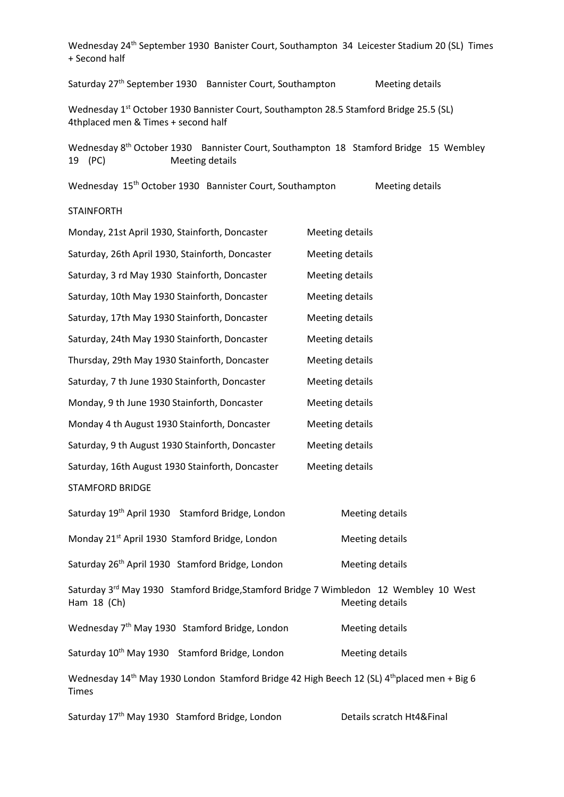Wednesday 24<sup>th</sup> September 1930 Banister Court, Southampton 34 Leicester Stadium 20 (SL) Times + Second half

Saturday 27<sup>th</sup> September 1930 Bannister Court, Southampton Meeting details

Wednesday 1st October 1930 Bannister Court, Southampton 28.5 Stamford Bridge 25.5 (SL) 4thplaced men & Times + second half

Wednesday 8th October 1930 Bannister Court, Southampton 18 Stamford Bridge 15 Wembley 19 (PC) Meeting details

Wednesday 15<sup>th</sup> October 1930 Bannister Court, Southampton Meeting details

#### STAINFORTH

| Monday, 21st April 1930, Stainforth, Doncaster              | <b>Meeting details</b> |
|-------------------------------------------------------------|------------------------|
| Saturday, 26th April 1930, Stainforth, Doncaster            | <b>Meeting details</b> |
| Saturday, 3 rd May 1930 Stainforth, Doncaster               | Meeting details        |
| Saturday, 10th May 1930 Stainforth, Doncaster               | Meeting details        |
| Saturday, 17th May 1930 Stainforth, Doncaster               | Meeting details        |
| Saturday, 24th May 1930 Stainforth, Doncaster               | Meeting details        |
| Thursday, 29th May 1930 Stainforth, Doncaster               | Meeting details        |
| Saturday, 7 th June 1930 Stainforth, Doncaster              | Meeting details        |
| Monday, 9 th June 1930 Stainforth, Doncaster                | Meeting details        |
| Monday 4 th August 1930 Stainforth, Doncaster               | Meeting details        |
| Saturday, 9 th August 1930 Stainforth, Doncaster            | <b>Meeting details</b> |
| Saturday, 16th August 1930 Stainforth, Doncaster            | Meeting details        |
| <b>STAMFORD BRIDGE</b>                                      |                        |
| Saturday 10 <sup>th</sup> April 1020 Stamford Bridge London | $M$ aating dataila     |

|                                                            | Saturday 19" April 1930 - Stamford Bridge, London | <b>IVIBELING OBTAILS</b> |
|------------------------------------------------------------|---------------------------------------------------|--------------------------|
| Monday 21 <sup>st</sup> April 1930 Stamford Bridge, London |                                                   | Meeting details          |

Saturday 26<sup>th</sup> April 1930 Stamford Bridge, London Meeting details

Saturday 3<sup>rd</sup> May 1930 Stamford Bridge, Stamford Bridge 7 Wimbledon 12 Wembley 10 West Ham 18 (Ch) Meeting details

Wednesday 7<sup>th</sup> May 1930 Stamford Bridge, London Meeting details Saturday 10<sup>th</sup> May 1930 Stamford Bridge, London Meeting details

Wednesday 14<sup>th</sup> May 1930 London Stamford Bridge 42 High Beech 12 (SL) 4<sup>th</sup>placed men + Big 6 Times

Saturday 17<sup>th</sup> May 1930 Stamford Bridge, London Details scratch Ht4&Final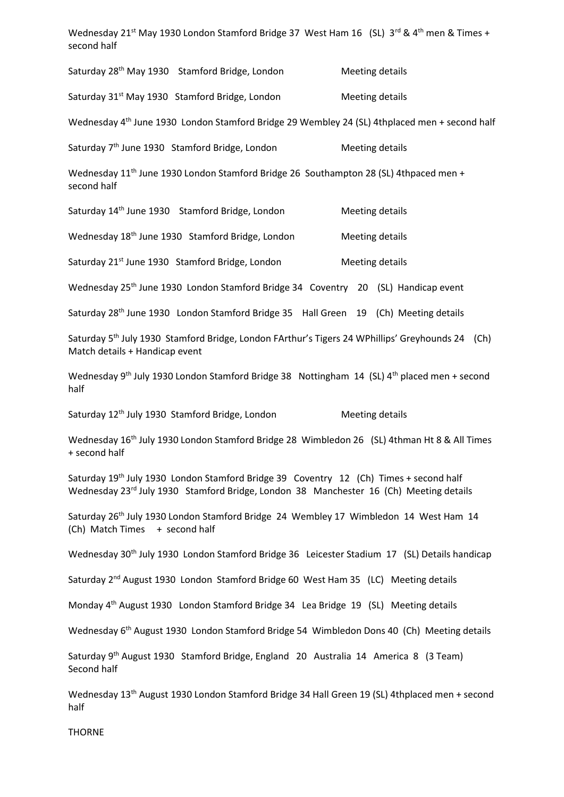Wednesday 21<sup>st</sup> May 1930 London Stamford Bridge 37 West Ham 16 (SL) 3<sup>rd</sup> & 4<sup>th</sup> men & Times + second half

Saturday 28<sup>th</sup> May 1930 Stamford Bridge, London Meeting details

Saturday 31<sup>st</sup> May 1930 Stamford Bridge, London Meeting details

Wednesday 4<sup>th</sup> June 1930 London Stamford Bridge 29 Wembley 24 (SL) 4thplaced men + second half

Saturday 7<sup>th</sup> June 1930 Stamford Bridge, London Meeting details

Wednesday 11<sup>th</sup> June 1930 London Stamford Bridge 26 Southampton 28 (SL) 4thpaced men + second half

Saturday 14<sup>th</sup> June 1930 Stamford Bridge, London Meeting details

Wednesday 18<sup>th</sup> June 1930 Stamford Bridge, London Meeting details

Saturday 21<sup>st</sup> June 1930 Stamford Bridge, London Meeting details

Wednesday 25<sup>th</sup> June 1930 London Stamford Bridge 34 Coventry 20 (SL) Handicap event

Saturday 28<sup>th</sup> June 1930 London Stamford Bridge 35 Hall Green 19 (Ch) Meeting details

Saturday 5<sup>th</sup> July 1930 Stamford Bridge, London FArthur's Tigers 24 WPhillips' Greyhounds 24 (Ch) Match details + Handicap event

Wednesday 9<sup>th</sup> July 1930 London Stamford Bridge 38 Nottingham 14 (SL) 4<sup>th</sup> placed men + second half

Saturday 12<sup>th</sup> July 1930 Stamford Bridge, London Meeting details

Wednesday 16<sup>th</sup> July 1930 London Stamford Bridge 28 Wimbledon 26 (SL) 4thman Ht 8 & All Times + second half

Saturday 19<sup>th</sup> July 1930 London Stamford Bridge 39 Coventry 12 (Ch) Times + second half Wednesday 23rd July 1930 Stamford Bridge, London 38 Manchester 16 (Ch) Meeting details

Saturday 26<sup>th</sup> July 1930 London Stamford Bridge 24 Wembley 17 Wimbledon 14 West Ham 14 (Ch) Match Times + second half

Wednesday 30<sup>th</sup> July 1930 London Stamford Bridge 36 Leicester Stadium 17 (SL) Details handicap

Saturday 2<sup>nd</sup> August 1930 London Stamford Bridge 60 West Ham 35 (LC) Meeting details

Monday 4th August 1930 London Stamford Bridge 34 Lea Bridge 19 (SL) Meeting details

Wednesday 6<sup>th</sup> August 1930 London Stamford Bridge 54 Wimbledon Dons 40 (Ch) Meeting details

Saturday 9th August 1930 Stamford Bridge, England 20 Australia 14 America 8 (3 Team) Second half

Wednesday 13th August 1930 London Stamford Bridge 34 Hall Green 19 (SL) 4thplaced men + second half

THORNE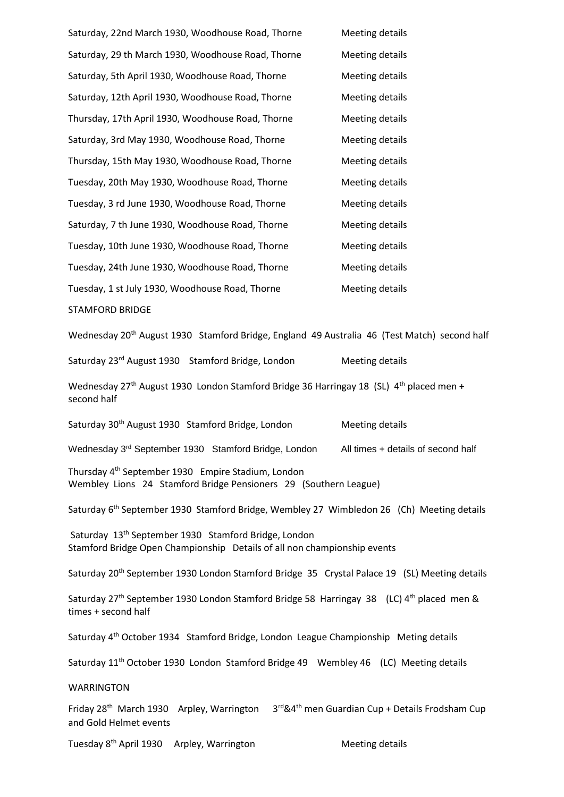Saturday, 22nd March 1930, Woodhouse Road, Thorne Meeting details Saturday, 29 th March 1930, Woodhouse Road, Thorne Meeting details Saturday, 5th April 1930, Woodhouse Road, Thorne Meeting details Saturday, 12th April 1930, Woodhouse Road, Thorne Meeting details Thursday, 17th April 1930, Woodhouse Road, Thorne Meeting details Saturday, 3rd May 1930, Woodhouse Road, Thorne Meeting details Thursday, 15th May 1930, Woodhouse Road, Thorne Meeting details Tuesday, 20th May 1930, Woodhouse Road, Thorne Meeting details Tuesday, 3 rd June 1930, Woodhouse Road, Thorne Meeting details Saturday, 7 th June 1930, Woodhouse Road, Thorne Meeting details Tuesday, 10th June 1930, Woodhouse Road, Thorne Meeting details Tuesday, 24th June 1930, Woodhouse Road, Thorne Meeting details Tuesday, 1 st July 1930, Woodhouse Road, Thorne Meeting details STAMFORD BRIDGE

Wednesday 20<sup>th</sup> August 1930 Stamford Bridge, England 49 Australia 46 (Test Match) second half

Saturday 23<sup>rd</sup> August 1930 Stamford Bridge, London Meeting details

Wednesday 27<sup>th</sup> August 1930 London Stamford Bridge 36 Harringay 18 (SL) 4<sup>th</sup> placed men + second half

Saturday 30<sup>th</sup> August 1930 Stamford Bridge, London Meeting details

Wednesday 3<sup>rd</sup> September 1930 Stamford Bridge, London All times + details of second half

Thursday 4th September 1930 Empire Stadium, London Wembley Lions 24 Stamford Bridge Pensioners 29 (Southern League)

Saturday 6th September 1930 Stamford Bridge, Wembley 27 Wimbledon 26 (Ch) Meeting details

Saturday 13th September 1930 Stamford Bridge, London Stamford Bridge Open Championship Details of all non championship events

Saturday 20<sup>th</sup> September 1930 London Stamford Bridge 35 Crystal Palace 19 (SL) Meeting details

Saturday  $27<sup>th</sup>$  September 1930 London Stamford Bridge 58 Harringay 38 (LC)  $4<sup>th</sup>$  placed men & times + second half

Saturday 4<sup>th</sup> October 1934 Stamford Bridge, London League Championship Meting details

Saturday 11<sup>th</sup> October 1930 London Stamford Bridge 49 Wembley 46 (LC) Meeting details

WARRINGTON

Friday 28<sup>th</sup> March 1930 Arpley, Warrington 3<sup>rd</sup>&4<sup>th</sup> men Guardian Cup + Details Frodsham Cup and Gold Helmet events

Tuesday 8<sup>th</sup> April 1930 Arpley, Warrington Meeting details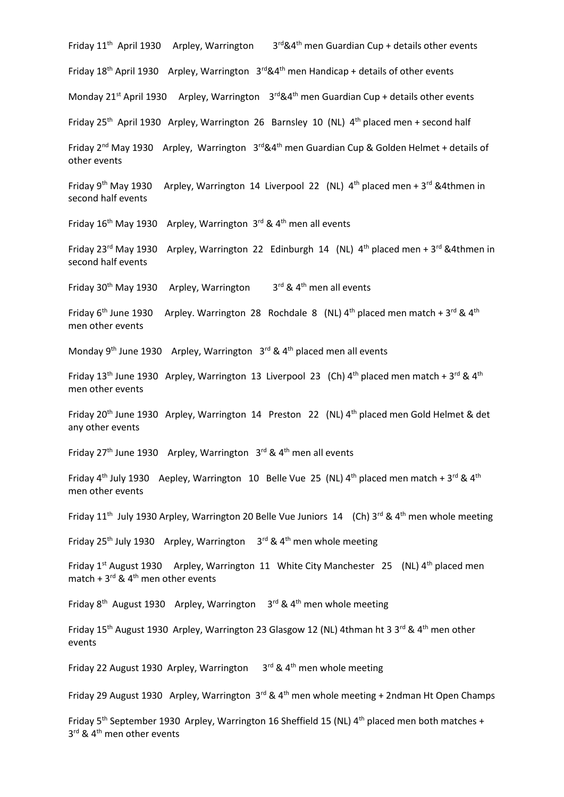Friday 11<sup>th</sup> April 1930 Arpley, Warrington 3<sup>rd</sup>&4<sup>th</sup> men Guardian Cup + details other events Friday  $18^{th}$  April 1930 Arpley, Warrington  $3^{rd}84^{th}$  men Handicap + details of other events Monday 21<sup>st</sup> April 1930 Arpley, Warrington  $3^{rd}$ &4<sup>th</sup> men Guardian Cup + details other events Friday 25<sup>th</sup> April 1930 Arpley, Warrington 26 Barnsley 10 (NL)  $4<sup>th</sup>$  placed men + second half Friday  $2^{nd}$  May 1930 Arpley, Warrington  $3^{rd}$ &4<sup>th</sup> men Guardian Cup & Golden Helmet + details of other events Friday 9<sup>th</sup> May 1930 Arpley, Warrington 14 Liverpool 22 (NL)  $4^{th}$  placed men + 3<sup>rd</sup> &4thmen in second half events Friday  $16^{th}$  May 1930 Arpley, Warrington  $3^{rd}$  & 4<sup>th</sup> men all events Friday 23<sup>rd</sup> May 1930 Arpley, Warrington 22 Edinburgh 14 (NL)  $4<sup>th</sup>$  placed men + 3<sup>rd</sup> &4thmen in second half events Friday 30<sup>th</sup> May 1930 Arpley, Warrington 3<sup>rd</sup> & 4<sup>th</sup> men all events Friday 6<sup>th</sup> June 1930 Arpley. Warrington 28 Rochdale 8 (NL)  $4^{th}$  placed men match + 3<sup>rd</sup> & 4<sup>th</sup> men other events Monday 9<sup>th</sup> June 1930 Arpley, Warrington  $3^{rd}$  & 4<sup>th</sup> placed men all events Friday 13<sup>th</sup> June 1930 Arpley, Warrington 13 Liverpool 23 (Ch) 4<sup>th</sup> placed men match + 3<sup>rd</sup> & 4<sup>th</sup> men other events Friday 20<sup>th</sup> June 1930 Arpley, Warrington 14 Preston 22 (NL)  $4<sup>th</sup>$  placed men Gold Helmet & det any other events Friday 27<sup>th</sup> June 1930 Arpley, Warrington  $3^{rd}$  & 4<sup>th</sup> men all events Friday 4<sup>th</sup> July 1930 Aepley, Warrington 10 Belle Vue 25 (NL) 4<sup>th</sup> placed men match + 3<sup>rd</sup> & 4<sup>th</sup> men other events Friday 11<sup>th</sup> July 1930 Arpley, Warrington 20 Belle Vue Juniors 14 (Ch) 3<sup>rd</sup> & 4<sup>th</sup> men whole meeting Friday 25<sup>th</sup> July 1930 Arpley, Warrington  $3<sup>rd</sup>$  & 4<sup>th</sup> men whole meeting Friday 1<sup>st</sup> August 1930 Arpley, Warrington 11 White City Manchester 25 (NL) 4<sup>th</sup> placed men match +  $3^{\text{rd}}$  & 4<sup>th</sup> men other events Friday  $8^{th}$  August 1930 Arpley, Warrington  $3^{rd}$  & 4<sup>th</sup> men whole meeting Friday 15<sup>th</sup> August 1930 Arpley, Warrington 23 Glasgow 12 (NL) 4thman ht 3 3<sup>rd</sup> & 4<sup>th</sup> men other events Friday 22 August 1930 Arpley, Warrington  $3<sup>rd</sup>$  & 4<sup>th</sup> men whole meeting Friday 29 August 1930 Arpley, Warrington  $3^{rd}$  & 4<sup>th</sup> men whole meeting + 2ndman Ht Open Champs Friday 5<sup>th</sup> September 1930 Arpley, Warrington 16 Sheffield 15 (NL) 4<sup>th</sup> placed men both matches + 3<sup>rd</sup> & 4<sup>th</sup> men other events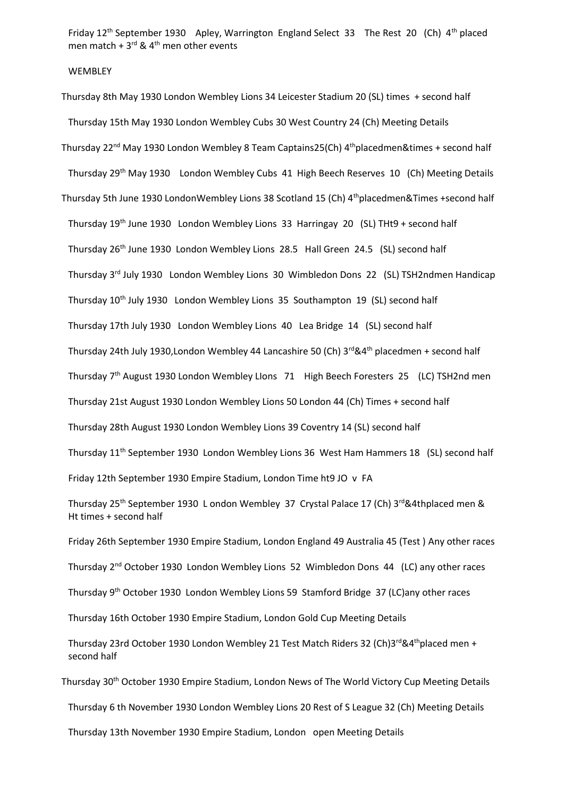Friday 12<sup>th</sup> September 1930 Apley, Warrington England Select 33 The Rest 20 (Ch) 4<sup>th</sup> placed men match +  $3^{\text{rd}}$  & 4<sup>th</sup> men other events

### WEMBLEY

Thursday 8th May 1930 London Wembley Lions 34 Leicester Stadium 20 (SL) times + second half Thursday 15th May 1930 London Wembley Cubs 30 West Country 24 (Ch) Meeting Details Thursday 22<sup>nd</sup> May 1930 London Wembley 8 Team Captains25(Ch)  $4<sup>th</sup>$ placedmen&times + second half Thursday 29th May 1930 London Wembley Cubs 41 High Beech Reserves 10 (Ch) Meeting Details Thursday 5th June 1930 LondonWembley Lions 38 Scotland 15 (Ch) 4<sup>th</sup>placedmen&Times +second half Thursday 19th June 1930 London Wembley Lions 33 Harringay 20 (SL) THt9 + second half Thursday 26<sup>th</sup> June 1930 London Wembley Lions 28.5 Hall Green 24.5 (SL) second half Thursday 3rd July 1930 London Wembley Lions 30 Wimbledon Dons 22 (SL) TSH2ndmen Handicap Thursday 10<sup>th</sup> July 1930 London Wembley Lions 35 Southampton 19 (SL) second half Thursday 17th July 1930 London Wembley Lions 40 Lea Bridge 14 (SL) second half Thursday 24th July 1930, London Wembley 44 Lancashire 50 (Ch)  $3^{rd}$ &4<sup>th</sup> placedmen + second half Thursday 7th August 1930 London Wembley LIons 71 High Beech Foresters 25 (LC) TSH2nd men Thursday 21st August 1930 London Wembley Lions 50 London 44 (Ch) Times + second half Thursday 28th August 1930 London Wembley Lions 39 Coventry 14 (SL) second half Thursday 11<sup>th</sup> September 1930 London Wembley Lions 36 West Ham Hammers 18 (SL) second half Friday 12th September 1930 Empire Stadium, London Time ht9 JO v FA Thursday 25<sup>th</sup> September 1930 L ondon Wembley 37 Crystal Palace 17 (Ch) 3<sup>rd</sup>&4thplaced men & Ht times + second half Friday 26th September 1930 Empire Stadium, London England 49 Australia 45 (Test ) Any other races Thursday 2nd October 1930 London Wembley Lions 52 Wimbledon Dons 44 (LC) any other races Thursday 9th October 1930 London Wembley Lions 59 Stamford Bridge 37 (LC)any other races Thursday 16th October 1930 Empire Stadium, London Gold Cup Meeting Details Thursday 23rd October 1930 London Wembley 21 Test Match Riders 32 (Ch)3<sup>rd</sup>&4<sup>th</sup>placed men + second half Thursday 30<sup>th</sup> October 1930 Empire Stadium, London News of The World Victory Cup Meeting Details Thursday 6 th November 1930 London Wembley Lions 20 Rest of S League 32 (Ch) Meeting Details Thursday 13th November 1930 Empire Stadium, London open Meeting Details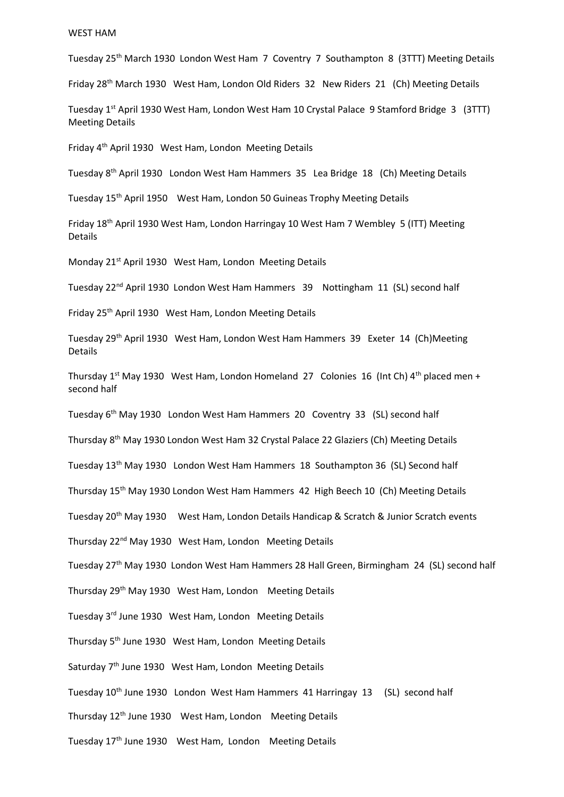#### WEST HAM

Tuesday 25th March 1930 London West Ham 7 Coventry 7 Southampton 8 (3TTT) Meeting Details

Friday 28<sup>th</sup> March 1930 West Ham, London Old Riders 32 New Riders 21 (Ch) Meeting Details

Tuesday 1<sup>st</sup> April 1930 West Ham, London West Ham 10 Crystal Palace 9 Stamford Bridge 3 (3TTT) Meeting Details

Friday 4th April 1930 West Ham, London Meeting Details

Tuesday 8th April 1930 London West Ham Hammers 35 Lea Bridge 18 (Ch) Meeting Details

Tuesday 15<sup>th</sup> April 1950 West Ham, London 50 Guineas Trophy Meeting Details

Friday 18th April 1930 West Ham, London Harringay 10 West Ham 7 Wembley 5 (ITT) Meeting Details

Monday 21<sup>st</sup> April 1930 West Ham, London Meeting Details

Tuesday 22nd April 1930 London West Ham Hammers 39 Nottingham 11 (SL) second half

Friday 25th April 1930 West Ham, London Meeting Details

Tuesday 29th April 1930 West Ham, London West Ham Hammers 39 Exeter 14 (Ch)Meeting Details

Thursday  $1^{st}$  May 1930 West Ham, London Homeland 27 Colonies 16 (Int Ch)  $4^{th}$  placed men + second half

Tuesday 6th May 1930 London West Ham Hammers 20 Coventry 33 (SL) second half

Thursday 8th May 1930 London West Ham 32 Crystal Palace 22 Glaziers (Ch) Meeting Details

Tuesday 13th May 1930 London West Ham Hammers 18 Southampton 36 (SL) Second half

Thursday 15th May 1930 London West Ham Hammers 42 High Beech 10 (Ch) Meeting Details

Tuesday 20<sup>th</sup> May 1930 West Ham, London Details Handicap & Scratch & Junior Scratch events

Thursday 22nd May 1930 West Ham, London Meeting Details

Tuesday 27th May 1930 London West Ham Hammers 28 Hall Green, Birmingham 24 (SL) second half

Thursday 29th May 1930 West Ham, London Meeting Details

Tuesday 3rd June 1930 West Ham, London Meeting Details

Thursday 5th June 1930 West Ham, London Meeting Details

Saturday 7<sup>th</sup> June 1930 West Ham, London Meeting Details

Tuesday 10<sup>th</sup> June 1930 London West Ham Hammers 41 Harringay 13 (SL) second half

Thursday 12th June 1930 West Ham, London Meeting Details

Tuesday 17<sup>th</sup> June 1930 West Ham, London Meeting Details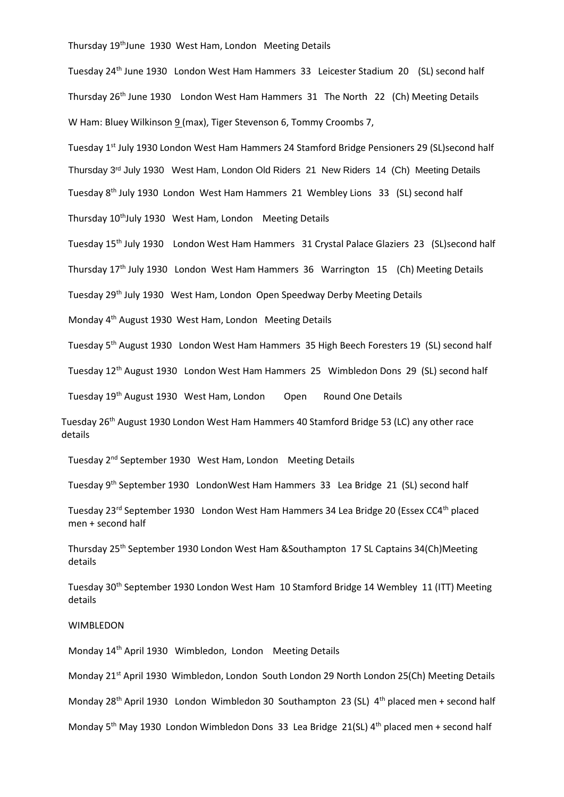#### Thursday 19<sup>th</sup>June 1930 West Ham, London Meeting Details

Tuesday 24th June 1930 London West Ham Hammers 33 Leicester Stadium 20 (SL) second half Thursday 26th June 1930 London West Ham Hammers 31 The North 22 (Ch) Meeting Details W Ham: Bluey Wilkinson 9 (max), Tiger Stevenson 6, Tommy Croombs 7,

Tuesday 1<sup>st</sup> July 1930 London West Ham Hammers 24 Stamford Bridge Pensioners 29 (SL)second half Thursday 3rd July 1930 West Ham, London Old Riders 21 New Riders 14 (Ch) Meeting Details Tuesday 8th July 1930 London West Ham Hammers 21 Wembley Lions 33 (SL) second half Thursday 10<sup>th</sup>July 1930 West Ham, London Meeting Details

Tuesday 15th July 1930 London West Ham Hammers 31 Crystal Palace Glaziers 23 (SL)second half

Thursday 17th July 1930 London West Ham Hammers 36 Warrington 15 (Ch) Meeting Details

Tuesday 29<sup>th</sup> July 1930 West Ham, London Open Speedway Derby Meeting Details

Monday 4th August 1930 West Ham, London Meeting Details

Tuesday 5th August 1930 London West Ham Hammers 35 High Beech Foresters 19 (SL) second half

Tuesday 12th August 1930 London West Ham Hammers 25 Wimbledon Dons 29 (SL) second half

Tuesday 19<sup>th</sup> August 1930 West Ham, London Open Round One Details

Tuesday 26th August 1930 London West Ham Hammers 40 Stamford Bridge 53 (LC) any other race details

Tuesday 2nd September 1930 West Ham, London Meeting Details

Tuesday 9th September 1930 LondonWest Ham Hammers 33 Lea Bridge 21 (SL) second half

Tuesday 23<sup>rd</sup> September 1930 London West Ham Hammers 34 Lea Bridge 20 (Essex CC4<sup>th</sup> placed men + second half

Thursday 25th September 1930 London West Ham &Southampton 17 SL Captains 34(Ch)Meeting details

Tuesday 30th September 1930 London West Ham 10 Stamford Bridge 14 Wembley 11 (ITT) Meeting details

### WIMBLEDON

Monday 14th April 1930 Wimbledon, London Meeting Details

Monday 21<sup>st</sup> April 1930 Wimbledon, London South London 29 North London 25(Ch) Meeting Details

Monday 28th April 1930 London Wimbledon 30 Southampton 23 (SL) 4th placed men + second half

Monday 5<sup>th</sup> May 1930 London Wimbledon Dons 33 Lea Bridge 21(SL) 4<sup>th</sup> placed men + second half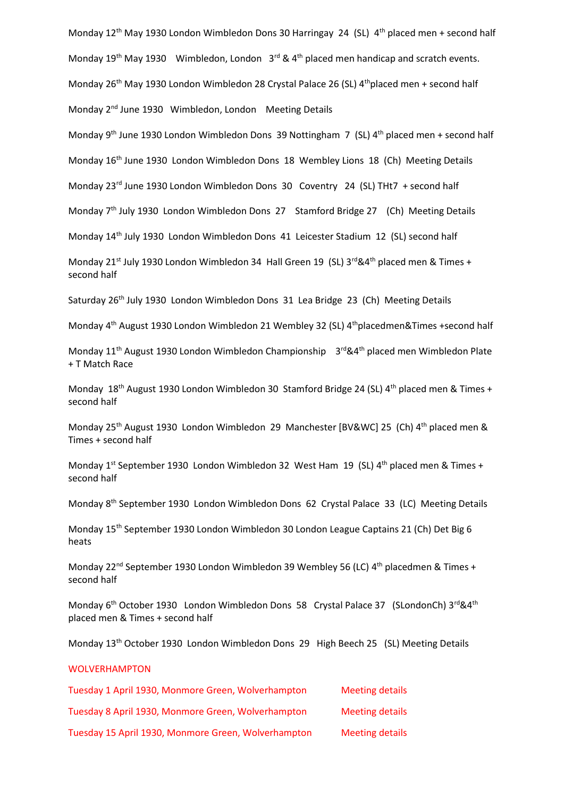Monday 12<sup>th</sup> May 1930 London Wimbledon Dons 30 Harringay 24 (SL) 4<sup>th</sup> placed men + second half Monday 19<sup>th</sup> May 1930 Wimbledon, London  $3^{rd}$  & 4<sup>th</sup> placed men handicap and scratch events. Monday 26<sup>th</sup> May 1930 London Wimbledon 28 Crystal Palace 26 (SL) 4<sup>th</sup>placed men + second half

Monday 2<sup>nd</sup> June 1930 Wimbledon, London Meeting Details

Monday 9<sup>th</sup> June 1930 London Wimbledon Dons 39 Nottingham 7 (SL) 4<sup>th</sup> placed men + second half

Monday 16th June 1930 London Wimbledon Dons 18 Wembley Lions 18 (Ch) Meeting Details

Monday 23<sup>rd</sup> June 1930 London Wimbledon Dons 30 Coventry 24 (SL) THt7 + second half

Monday 7<sup>th</sup> July 1930 London Wimbledon Dons 27 Stamford Bridge 27 (Ch) Meeting Details

Monday 14th July 1930 London Wimbledon Dons 41 Leicester Stadium 12 (SL) second half

Monday 21<sup>st</sup> July 1930 London Wimbledon 34 Hall Green 19 (SL)  $3^{rd}$ &4<sup>th</sup> placed men & Times + second half

Saturday 26<sup>th</sup> July 1930 London Wimbledon Dons 31 Lea Bridge 23 (Ch) Meeting Details

Monday 4<sup>th</sup> August 1930 London Wimbledon 21 Wembley 32 (SL) 4<sup>th</sup>placedmen&Times +second half

Monday 11<sup>th</sup> August 1930 London Wimbledon Championship 3<sup>rd</sup>&4<sup>th</sup> placed men Wimbledon Plate + T Match Race

Monday 18<sup>th</sup> August 1930 London Wimbledon 30 Stamford Bridge 24 (SL) 4<sup>th</sup> placed men & Times + second half

Monday 25<sup>th</sup> August 1930 London Wimbledon 29 Manchester [BV&WC] 25 (Ch) 4<sup>th</sup> placed men & Times + second half

Monday  $1^{st}$  September 1930 London Wimbledon 32 West Ham 19 (SL)  $4^{th}$  placed men & Times + second half

Monday 8th September 1930 London Wimbledon Dons 62 Crystal Palace 33 (LC) Meeting Details

Monday 15th September 1930 London Wimbledon 30 London League Captains 21 (Ch) Det Big 6 heats

Monday 22<sup>nd</sup> September 1930 London Wimbledon 39 Wembley 56 (LC)  $4^{th}$  placedmen & Times + second half

Monday 6<sup>th</sup> October 1930 London Wimbledon Dons 58 Crystal Palace 37 (SLondonCh) 3<sup>rd</sup>&4<sup>th</sup> placed men & Times + second half

Monday 13th October 1930 London Wimbledon Dons 29 High Beech 25 (SL) Meeting Details

# WOLVERHAMPTON

| Tuesday 1 April 1930, Monmore Green, Wolverhampton  | <b>Meeting details</b> |
|-----------------------------------------------------|------------------------|
| Tuesday 8 April 1930, Monmore Green, Wolverhampton  | <b>Meeting details</b> |
| Tuesday 15 April 1930, Monmore Green, Wolverhampton | <b>Meeting details</b> |